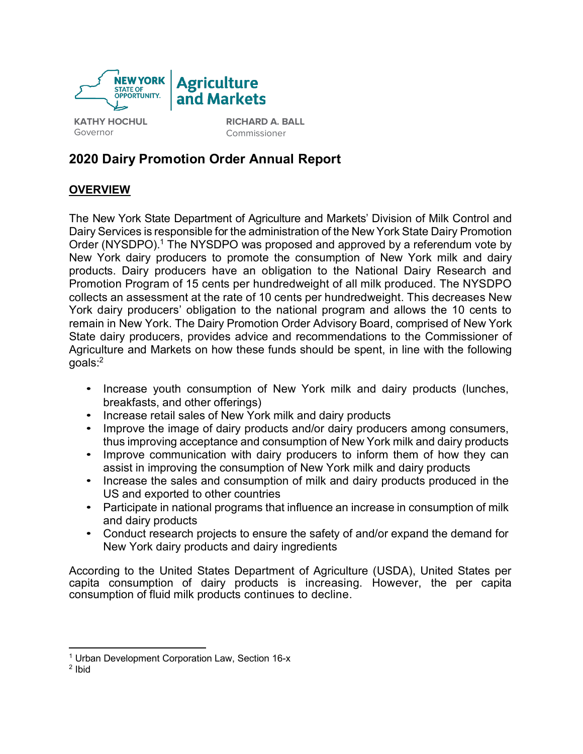

**KATHY HOCHUL** Governor

**RICHARD A. BALL**  Commissioner

# **2020 Dairy Promotion Order Annual Report**

# **OVERVIEW**

The New York State Department of Agriculture and Markets' Division of Milk Control and Dairy Services is responsible for the administration of the New York State Dairy Promotion Order (NYSDPO).<sup>1</sup> The NYSDPO was proposed and approved by a referendum vote by New York dairy producers to promote the consumption of New York milk and dairy products. Dairy producers have an obligation to the National Dairy Research and Promotion Program of 15 cents per hundredweight of all milk produced. The NYSDPO collects an assessment at the rate of 10 cents per hundredweight. This decreases New York dairy producers' obligation to the national program and allows the 10 cents to remain in New York. The Dairy Promotion Order Advisory Board, comprised of New York State dairy producers, provides advice and recommendations to the Commissioner of Agriculture and Markets on how these funds should be spent, in line with the following goals: $^2$ 

- Increase youth consumption of New York milk and dairy products (lunches, breakfasts, and other offerings)
- Increase retail sales of New York milk and dairy products
- Improve the image of dairy products and/or dairy producers among consumers, thus improving acceptance and consumption of New York milk and dairy products
- Improve communication with dairy producers to inform them of how they can assist in improving the consumption of New York milk and dairy products
- Increase the sales and consumption of milk and dairy products produced in the US and exported to other countries
- Participate in national programs that influence an increase in consumption of milk and dairy products
- Conduct research projects to ensure the safety of and/or expand the demand for New York dairy products and dairy ingredients

According to the United States Department of Agriculture (USDA), United States per capita consumption of dairy products is increasing. However, the per capita consumption of fluid milk products continues to decline.

 $\overline{a}$ <sup>1</sup> Urban Development Corporation Law, Section 16-x

 $2$  Ibid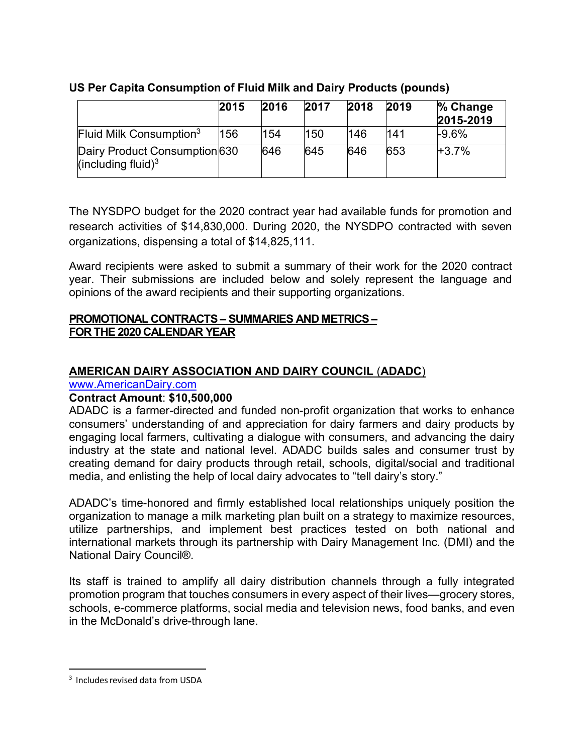|                                                        | 2015 | 2016 | 2017 | 2018 | 2019 | % Change<br>2015-2019 |
|--------------------------------------------------------|------|------|------|------|------|-----------------------|
| Fluid Milk Consumption <sup>3</sup>                    | 156  | 154  | 150  | 146  | 141  | $-9.6%$               |
| Dairy Product Consumption 630<br>(including fluid) $3$ |      | 646  | 645  | 646  | 653  | $+3.7%$               |

# **US Per Capita Consumption of Fluid Milk and Dairy Products (pounds)**

The NYSDPO budget for the 2020 contract year had available funds for promotion and research activities of \$14,830,000. During 2020, the NYSDPO contracted with seven organizations, dispensing a total of \$14,825,111.

Award recipients were asked to submit a summary of their work for the 2020 contract year. Their submissions are included below and solely represent the language and opinions of the award recipients and their supporting organizations.

# **PROMOTIONAL CONTRACTS – SUMMARIES AND METRICS – FOR THE 2020 CALENDAR YEAR**

# **AMERICAN DAIRY ASSOCIATION AND DAIRY COUNCIL** (**ADADC**)

www.AmericanDairy.com

# **Contract Amount**: **\$10,500,000**

ADADC is a farmer-directed and funded non-profit organization that works to enhance consumers' understanding of and appreciation for dairy farmers and dairy products by engaging local farmers, cultivating a dialogue with consumers, and advancing the dairy industry at the state and national level. ADADC builds sales and consumer trust by creating demand for dairy products through retail, schools, digital/social and traditional media, and enlisting the help of local dairy advocates to "tell dairy's story."

ADADC's time-honored and firmly established local relationships uniquely position the organization to manage a milk marketing plan built on a strategy to maximize resources, utilize partnerships, and implement best practices tested on both national and international markets through its partnership with Dairy Management Inc. (DMI) and the National Dairy Council®.

Its staff is trained to amplify all dairy distribution channels through a fully integrated promotion program that touches consumers in every aspect of their lives—grocery stores, schools, e-commerce platforms, social media and television news, food banks, and even in the McDonald's drive-through lane.

 <sup>3</sup> Includesrevised data from USDA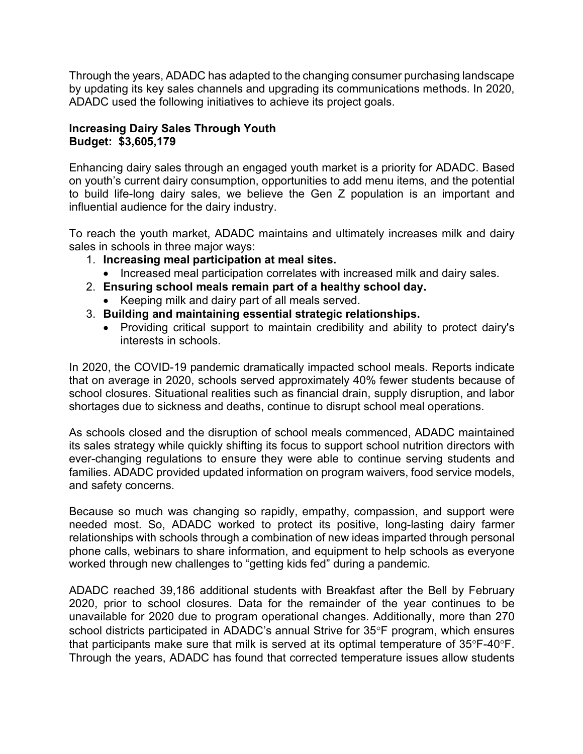Through the years, ADADC has adapted to the changing consumer purchasing landscape by updating its key sales channels and upgrading its communications methods. In 2020, ADADC used the following initiatives to achieve its project goals.

# **Increasing Dairy Sales Through Youth Budget: \$3,605,179**

Enhancing dairy sales through an engaged youth market is a priority for ADADC. Based on youth's current dairy consumption, opportunities to add menu items, and the potential to build life-long dairy sales, we believe the Gen Z population is an important and influential audience for the dairy industry.

To reach the youth market, ADADC maintains and ultimately increases milk and dairy sales in schools in three major ways:

- 1. **Increasing meal participation at meal sites.**
	- Increased meal participation correlates with increased milk and dairy sales.
- 2. **Ensuring school meals remain part of a healthy school day.** 
	- Keeping milk and dairy part of all meals served.
- 3. **Building and maintaining essential strategic relationships.**
	- Providing critical support to maintain credibility and ability to protect dairy's interests in schools.

In 2020, the COVID-19 pandemic dramatically impacted school meals. Reports indicate that on average in 2020, schools served approximately 40% fewer students because of school closures. Situational realities such as financial drain, supply disruption, and labor shortages due to sickness and deaths, continue to disrupt school meal operations.

As schools closed and the disruption of school meals commenced, ADADC maintained its sales strategy while quickly shifting its focus to support school nutrition directors with ever-changing regulations to ensure they were able to continue serving students and families. ADADC provided updated information on program waivers, food service models, and safety concerns.

Because so much was changing so rapidly, empathy, compassion, and support were needed most. So, ADADC worked to protect its positive, long-lasting dairy farmer relationships with schools through a combination of new ideas imparted through personal phone calls, webinars to share information, and equipment to help schools as everyone worked through new challenges to "getting kids fed" during a pandemic.

ADADC reached 39,186 additional students with Breakfast after the Bell by February 2020, prior to school closures. Data for the remainder of the year continues to be unavailable for 2020 due to program operational changes. Additionally, more than 270 school districts participated in ADADC's annual Strive for 35°F program, which ensures that participants make sure that milk is served at its optimal temperature of 35°F-40°F. Through the years, ADADC has found that corrected temperature issues allow students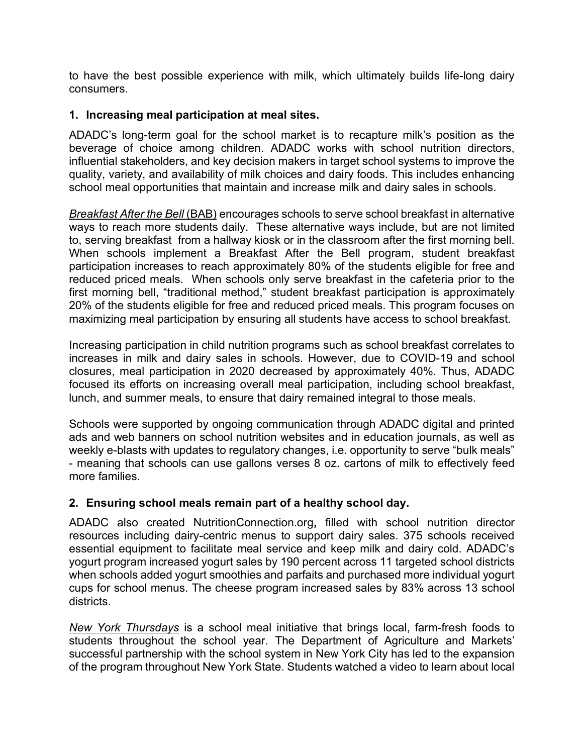to have the best possible experience with milk, which ultimately builds life-long dairy consumers.

# **1. Increasing meal participation at meal sites.**

ADADC's long-term goal for the school market is to recapture milk's position as the beverage of choice among children. ADADC works with school nutrition directors, influential stakeholders, and key decision makers in target school systems to improve the quality, variety, and availability of milk choices and dairy foods. This includes enhancing school meal opportunities that maintain and increase milk and dairy sales in schools.

*Breakfast After the Bell* (BAB) encourages schools to serve school breakfast in alternative ways to reach more students daily. These alternative ways include, but are not limited to, serving breakfast from a hallway kiosk or in the classroom after the first morning bell. When schools implement a Breakfast After the Bell program, student breakfast participation increases to reach approximately 80% of the students eligible for free and reduced priced meals. When schools only serve breakfast in the cafeteria prior to the first morning bell, "traditional method," student breakfast participation is approximately 20% of the students eligible for free and reduced priced meals. This program focuses on maximizing meal participation by ensuring all students have access to school breakfast.

Increasing participation in child nutrition programs such as school breakfast correlates to increases in milk and dairy sales in schools. However, due to COVID-19 and school closures, meal participation in 2020 decreased by approximately 40%. Thus, ADADC focused its efforts on increasing overall meal participation, including school breakfast, lunch, and summer meals, to ensure that dairy remained integral to those meals.

Schools were supported by ongoing communication through ADADC digital and printed ads and web banners on school nutrition websites and in education journals, as well as weekly e-blasts with updates to regulatory changes, i.e. opportunity to serve "bulk meals" - meaning that schools can use gallons verses 8 oz. cartons of milk to effectively feed more families.

# **2. Ensuring school meals remain part of a healthy school day.**

ADADC also created NutritionConnection.org**,** filled with school nutrition director resources including dairy-centric menus to support dairy sales. 375 schools received essential equipment to facilitate meal service and keep milk and dairy cold. ADADC's yogurt program increased yogurt sales by 190 percent across 11 targeted school districts when schools added yogurt smoothies and parfaits and purchased more individual yogurt cups for school menus. The cheese program increased sales by 83% across 13 school districts.

*New York Thursdays* is a school meal initiative that brings local, farm-fresh foods to students throughout the school year. The Department of Agriculture and Markets' successful partnership with the school system in New York City has led to the expansion of the program throughout New York State. Students watched a video to learn about local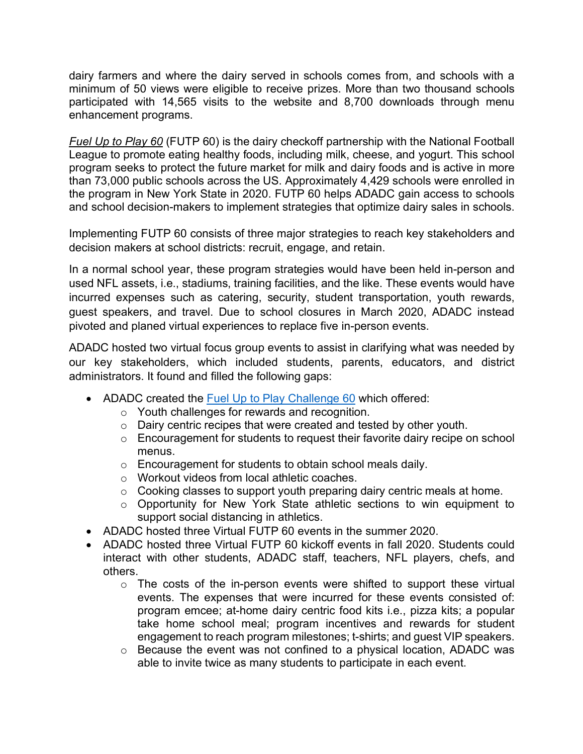dairy farmers and where the dairy served in schools comes from, and schools with a minimum of 50 views were eligible to receive prizes. More than two thousand schools participated with 14,565 visits to the website and 8,700 downloads through menu enhancement programs.

*Fuel Up to Play 60* (FUTP 60) is the dairy checkoff partnership with the National Football League to promote eating healthy foods, including milk, cheese, and yogurt. This school program seeks to protect the future market for milk and dairy foods and is active in more than 73,000 public schools across the US. Approximately 4,429 schools were enrolled in the program in New York State in 2020. FUTP 60 helps ADADC gain access to schools and school decision-makers to implement strategies that optimize dairy sales in schools.

Implementing FUTP 60 consists of three major strategies to reach key stakeholders and decision makers at school districts: recruit, engage, and retain.

In a normal school year, these program strategies would have been held in-person and used NFL assets, i.e., stadiums, training facilities, and the like. These events would have incurred expenses such as catering, security, student transportation, youth rewards, guest speakers, and travel. Due to school closures in March 2020, ADADC instead pivoted and planed virtual experiences to replace five in-person events.

ADADC hosted two virtual focus group events to assist in clarifying what was needed by our key stakeholders, which included students, parents, educators, and district administrators. It found and filled the following gaps:

- ADADC created the Fuel Up to Play Challenge 60 which offered:
	- o Youth challenges for rewards and recognition.
	- o Dairy centric recipes that were created and tested by other youth.
	- o Encouragement for students to request their favorite dairy recipe on school menus.
	- o Encouragement for students to obtain school meals daily.
	- o Workout videos from local athletic coaches.
	- o Cooking classes to support youth preparing dairy centric meals at home.
	- o Opportunity for New York State athletic sections to win equipment to support social distancing in athletics.
- ADADC hosted three Virtual FUTP 60 events in the summer 2020.
- ADADC hosted three Virtual FUTP 60 kickoff events in fall 2020. Students could interact with other students, ADADC staff, teachers, NFL players, chefs, and others.
	- $\circ$  The costs of the in-person events were shifted to support these virtual events. The expenses that were incurred for these events consisted of: program emcee; at-home dairy centric food kits i.e., pizza kits; a popular take home school meal; program incentives and rewards for student engagement to reach program milestones; t-shirts; and guest VIP speakers.
	- o Because the event was not confined to a physical location, ADADC was able to invite twice as many students to participate in each event.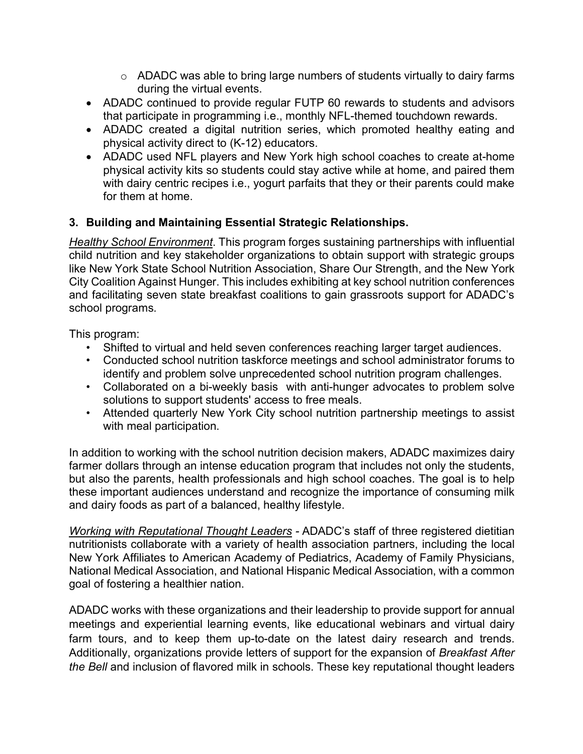- o ADADC was able to bring large numbers of students virtually to dairy farms during the virtual events.
- ADADC continued to provide regular FUTP 60 rewards to students and advisors that participate in programming i.e., monthly NFL-themed touchdown rewards.
- ADADC created a digital nutrition series, which promoted healthy eating and physical activity direct to (K-12) educators.
- ADADC used NFL players and New York high school coaches to create at-home physical activity kits so students could stay active while at home, and paired them with dairy centric recipes i.e., yogurt parfaits that they or their parents could make for them at home.

# **3. Building and Maintaining Essential Strategic Relationships.**

*Healthy School Environment*. This program forges sustaining partnerships with influential child nutrition and key stakeholder organizations to obtain support with strategic groups like New York State School Nutrition Association, Share Our Strength, and the New York City Coalition Against Hunger. This includes exhibiting at key school nutrition conferences and facilitating seven state breakfast coalitions to gain grassroots support for ADADC's school programs.

This program:

- Shifted to virtual and held seven conferences reaching larger target audiences.
- Conducted school nutrition taskforce meetings and school administrator forums to identify and problem solve unprecedented school nutrition program challenges.
- Collaborated on a bi-weekly basis with anti-hunger advocates to problem solve solutions to support students' access to free meals.
- Attended quarterly New York City school nutrition partnership meetings to assist with meal participation.

In addition to working with the school nutrition decision makers, ADADC maximizes dairy farmer dollars through an intense education program that includes not only the students, but also the parents, health professionals and high school coaches. The goal is to help these important audiences understand and recognize the importance of consuming milk and dairy foods as part of a balanced, healthy lifestyle.

*Working with Reputational Thought Leaders -* ADADC's staff of three registered dietitian nutritionists collaborate with a variety of health association partners, including the local New York Affiliates to American Academy of Pediatrics, Academy of Family Physicians, National Medical Association, and National Hispanic Medical Association, with a common goal of fostering a healthier nation.

ADADC works with these organizations and their leadership to provide support for annual meetings and experiential learning events, like educational webinars and virtual dairy farm tours, and to keep them up-to-date on the latest dairy research and trends. Additionally, organizations provide letters of support for the expansion of *Breakfast After the Bell* and inclusion of flavored milk in schools. These key reputational thought leaders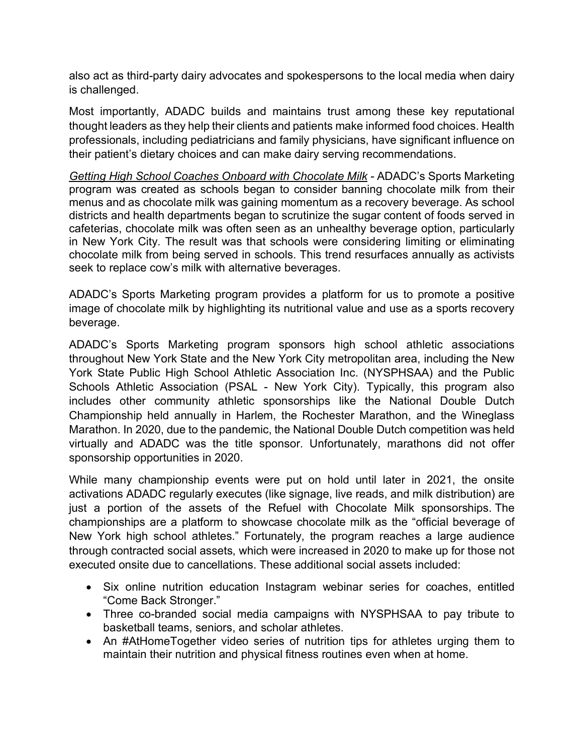also act as third-party dairy advocates and spokespersons to the local media when dairy is challenged.

Most importantly, ADADC builds and maintains trust among these key reputational thought leaders as they help their clients and patients make informed food choices. Health professionals, including pediatricians and family physicians, have significant influence on their patient's dietary choices and can make dairy serving recommendations.

*Getting High School Coaches Onboard with Chocolate Milk -* ADADC's Sports Marketing program was created as schools began to consider banning chocolate milk from their menus and as chocolate milk was gaining momentum as a recovery beverage. As school districts and health departments began to scrutinize the sugar content of foods served in cafeterias, chocolate milk was often seen as an unhealthy beverage option, particularly in New York City. The result was that schools were considering limiting or eliminating chocolate milk from being served in schools. This trend resurfaces annually as activists seek to replace cow's milk with alternative beverages.

ADADC's Sports Marketing program provides a platform for us to promote a positive image of chocolate milk by highlighting its nutritional value and use as a sports recovery beverage.

ADADC's Sports Marketing program sponsors high school athletic associations throughout New York State and the New York City metropolitan area, including the New York State Public High School Athletic Association Inc. (NYSPHSAA) and the Public Schools Athletic Association (PSAL - New York City). Typically, this program also includes other community athletic sponsorships like the National Double Dutch Championship held annually in Harlem, the Rochester Marathon, and the Wineglass Marathon. In 2020, due to the pandemic, the National Double Dutch competition was held virtually and ADADC was the title sponsor. Unfortunately, marathons did not offer sponsorship opportunities in 2020.

While many championship events were put on hold until later in 2021, the onsite activations ADADC regularly executes (like signage, live reads, and milk distribution) are just a portion of the assets of the Refuel with Chocolate Milk sponsorships. The championships are a platform to showcase chocolate milk as the "official beverage of New York high school athletes." Fortunately, the program reaches a large audience through contracted social assets, which were increased in 2020 to make up for those not executed onsite due to cancellations. These additional social assets included:

- Six online nutrition education Instagram webinar series for coaches, entitled "Come Back Stronger."
- Three co-branded social media campaigns with NYSPHSAA to pay tribute to basketball teams, seniors, and scholar athletes.
- An #AtHomeTogether video series of nutrition tips for athletes urging them to maintain their nutrition and physical fitness routines even when at home.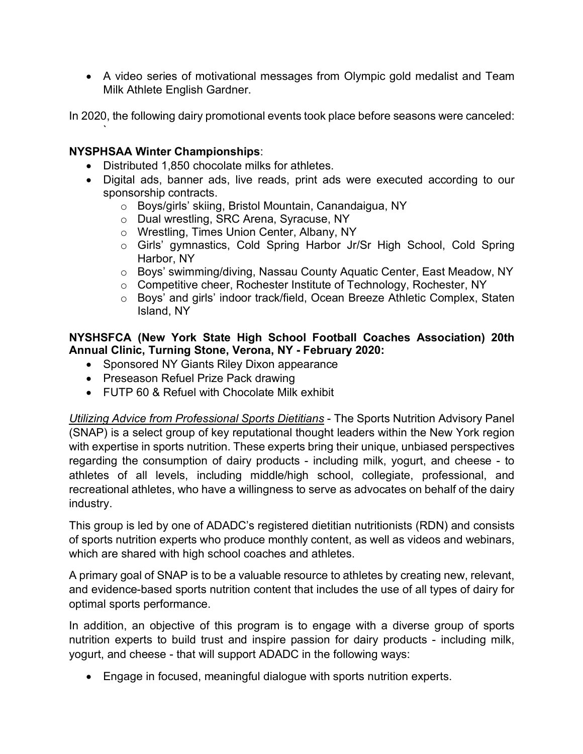• A video series of motivational messages from Olympic gold medalist and Team Milk Athlete English Gardner.

In 2020, the following dairy promotional events took place before seasons were canceled:

#### **NYSPHSAA Winter Championships**:

`

- Distributed 1,850 chocolate milks for athletes.
- Digital ads, banner ads, live reads, print ads were executed according to our sponsorship contracts.
	- o Boys/girls' skiing, Bristol Mountain, Canandaigua, NY
	- o Dual wrestling, SRC Arena, Syracuse, NY
	- o Wrestling, Times Union Center, Albany, NY
	- o Girls' gymnastics, Cold Spring Harbor Jr/Sr High School, Cold Spring Harbor, NY
	- o Boys' swimming/diving, Nassau County Aquatic Center, East Meadow, NY
	- o Competitive cheer, Rochester Institute of Technology, Rochester, NY
	- o Boys' and girls' indoor track/field, Ocean Breeze Athletic Complex, Staten Island, NY

#### **NYSHSFCA (New York State High School Football Coaches Association) 20th Annual Clinic, Turning Stone, Verona, NY - February 2020:**

- Sponsored NY Giants Riley Dixon appearance
- Preseason Refuel Prize Pack drawing
- FUTP 60 & Refuel with Chocolate Milk exhibit

*Utilizing Advice from Professional Sports Dietitians* - The Sports Nutrition Advisory Panel (SNAP) is a select group of key reputational thought leaders within the New York region with expertise in sports nutrition. These experts bring their unique, unbiased perspectives regarding the consumption of dairy products - including milk, yogurt, and cheese - to athletes of all levels, including middle/high school, collegiate, professional, and recreational athletes, who have a willingness to serve as advocates on behalf of the dairy industry.

This group is led by one of ADADC's registered dietitian nutritionists (RDN) and consists of sports nutrition experts who produce monthly content, as well as videos and webinars, which are shared with high school coaches and athletes.

A primary goal of SNAP is to be a valuable resource to athletes by creating new, relevant, and evidence-based sports nutrition content that includes the use of all types of dairy for optimal sports performance.

In addition, an objective of this program is to engage with a diverse group of sports nutrition experts to build trust and inspire passion for dairy products - including milk, yogurt, and cheese - that will support ADADC in the following ways:

• Engage in focused, meaningful dialogue with sports nutrition experts.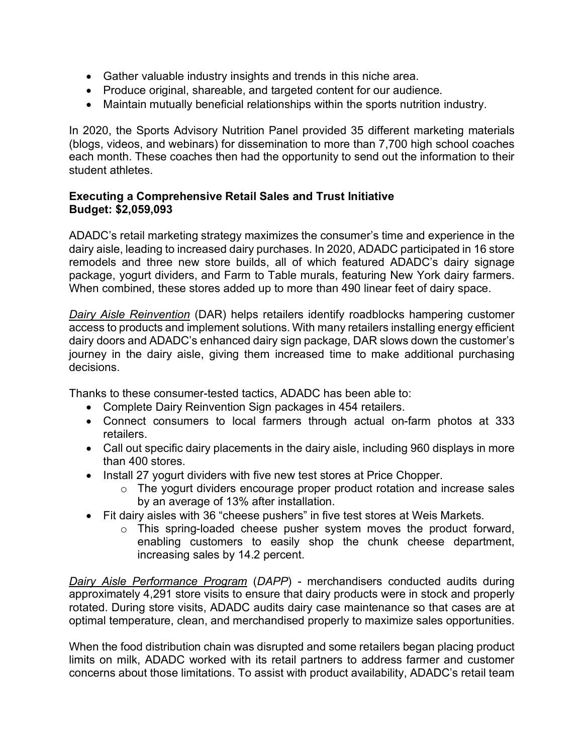- Gather valuable industry insights and trends in this niche area.
- Produce original, shareable, and targeted content for our audience.
- Maintain mutually beneficial relationships within the sports nutrition industry.

In 2020, the Sports Advisory Nutrition Panel provided 35 different marketing materials (blogs, videos, and webinars) for dissemination to more than 7,700 high school coaches each month. These coaches then had the opportunity to send out the information to their student athletes.

#### **Executing a Comprehensive Retail Sales and Trust Initiative Budget: \$2,059,093**

ADADC's retail marketing strategy maximizes the consumer's time and experience in the dairy aisle, leading to increased dairy purchases. In 2020, ADADC participated in 16 store remodels and three new store builds, all of which featured ADADC's dairy signage package, yogurt dividers, and Farm to Table murals, featuring New York dairy farmers. When combined, these stores added up to more than 490 linear feet of dairy space.

*Dairy Aisle Reinvention* (DAR) helps retailers identify roadblocks hampering customer access to products and implement solutions. With many retailers installing energy efficient dairy doors and ADADC's enhanced dairy sign package, DAR slows down the customer's journey in the dairy aisle, giving them increased time to make additional purchasing decisions.

Thanks to these consumer-tested tactics, ADADC has been able to:

- Complete Dairy Reinvention Sign packages in 454 retailers.
- Connect consumers to local farmers through actual on-farm photos at 333 retailers.
- Call out specific dairy placements in the dairy aisle, including 960 displays in more than 400 stores.
- Install 27 yogurt dividers with five new test stores at Price Chopper.
	- o The yogurt dividers encourage proper product rotation and increase sales by an average of 13% after installation.
- Fit dairy aisles with 36 "cheese pushers" in five test stores at Weis Markets.
	- o This spring-loaded cheese pusher system moves the product forward, enabling customers to easily shop the chunk cheese department, increasing sales by 14.2 percent.

*Dairy Aisle Performance Program* (*DAPP*) - merchandisers conducted audits during approximately 4,291 store visits to ensure that dairy products were in stock and properly rotated. During store visits, ADADC audits dairy case maintenance so that cases are at optimal temperature, clean, and merchandised properly to maximize sales opportunities.

When the food distribution chain was disrupted and some retailers began placing product limits on milk, ADADC worked with its retail partners to address farmer and customer concerns about those limitations. To assist with product availability, ADADC's retail team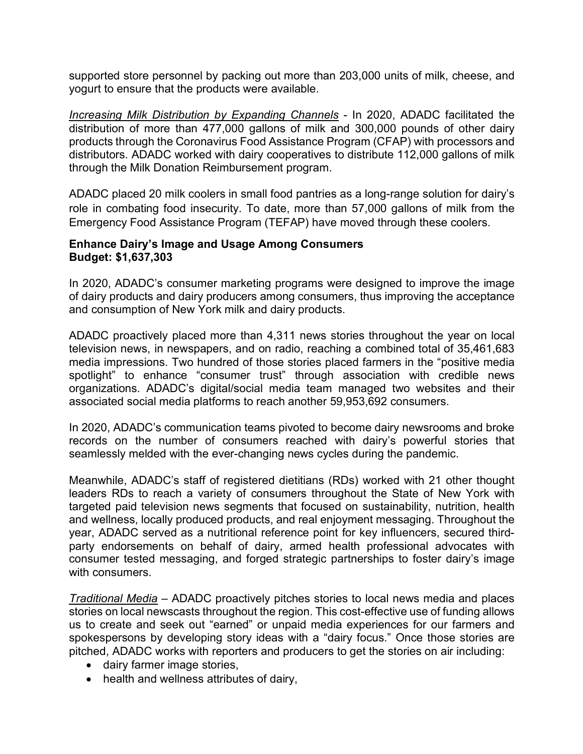supported store personnel by packing out more than 203,000 units of milk, cheese, and yogurt to ensure that the products were available.

*Increasing Milk Distribution by Expanding Channels* - In 2020, ADADC facilitated the distribution of more than 477,000 gallons of milk and 300,000 pounds of other dairy products through the Coronavirus Food Assistance Program (CFAP) with processors and distributors. ADADC worked with dairy cooperatives to distribute 112,000 gallons of milk through the Milk Donation Reimbursement program.

ADADC placed 20 milk coolers in small food pantries as a long-range solution for dairy's role in combating food insecurity. To date, more than 57,000 gallons of milk from the Emergency Food Assistance Program (TEFAP) have moved through these coolers.

#### **Enhance Dairy's Image and Usage Among Consumers Budget: \$1,637,303**

In 2020, ADADC's consumer marketing programs were designed to improve the image of dairy products and dairy producers among consumers, thus improving the acceptance and consumption of New York milk and dairy products.

ADADC proactively placed more than 4,311 news stories throughout the year on local television news, in newspapers, and on radio, reaching a combined total of 35,461,683 media impressions. Two hundred of those stories placed farmers in the "positive media spotlight" to enhance "consumer trust" through association with credible news organizations. ADADC's digital/social media team managed two websites and their associated social media platforms to reach another 59,953,692 consumers.

In 2020, ADADC's communication teams pivoted to become dairy newsrooms and broke records on the number of consumers reached with dairy's powerful stories that seamlessly melded with the ever-changing news cycles during the pandemic.

Meanwhile, ADADC's staff of registered dietitians (RDs) worked with 21 other thought leaders RDs to reach a variety of consumers throughout the State of New York with targeted paid television news segments that focused on sustainability, nutrition, health and wellness, locally produced products, and real enjoyment messaging. Throughout the year, ADADC served as a nutritional reference point for key influencers, secured thirdparty endorsements on behalf of dairy, armed health professional advocates with consumer tested messaging, and forged strategic partnerships to foster dairy's image with consumers.

*Traditional Media* – ADADC proactively pitches stories to local news media and places stories on local newscasts throughout the region. This cost-effective use of funding allows us to create and seek out "earned" or unpaid media experiences for our farmers and spokespersons by developing story ideas with a "dairy focus." Once those stories are pitched, ADADC works with reporters and producers to get the stories on air including:

- dairy farmer image stories,
- health and wellness attributes of dairy,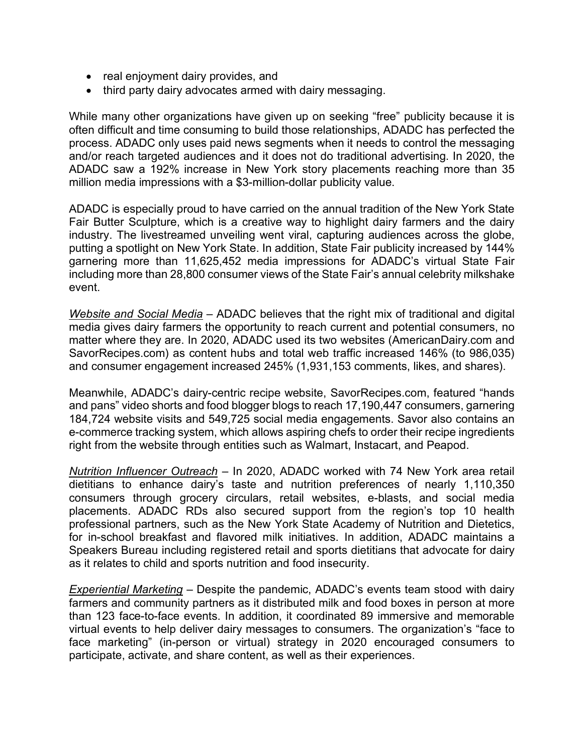- real enjoyment dairy provides, and
- third party dairy advocates armed with dairy messaging.

While many other organizations have given up on seeking "free" publicity because it is often difficult and time consuming to build those relationships, ADADC has perfected the process. ADADC only uses paid news segments when it needs to control the messaging and/or reach targeted audiences and it does not do traditional advertising. In 2020, the ADADC saw a 192% increase in New York story placements reaching more than 35 million media impressions with a \$3-million-dollar publicity value.

ADADC is especially proud to have carried on the annual tradition of the New York State Fair Butter Sculpture, which is a creative way to highlight dairy farmers and the dairy industry. The livestreamed unveiling went viral, capturing audiences across the globe, putting a spotlight on New York State. In addition, State Fair publicity increased by 144% garnering more than 11,625,452 media impressions for ADADC's virtual State Fair including more than 28,800 consumer views of the State Fair's annual celebrity milkshake event.

*Website and Social Media* – ADADC believes that the right mix of traditional and digital media gives dairy farmers the opportunity to reach current and potential consumers, no matter where they are. In 2020, ADADC used its two websites (AmericanDairy.com and SavorRecipes.com) as content hubs and total web traffic increased 146% (to 986,035) and consumer engagement increased 245% (1,931,153 comments, likes, and shares).

Meanwhile, ADADC's dairy-centric recipe website, SavorRecipes.com, featured "hands and pans" video shorts and food blogger blogs to reach 17,190,447 consumers, garnering 184,724 website visits and 549,725 social media engagements. Savor also contains an e-commerce tracking system, which allows aspiring chefs to order their recipe ingredients right from the website through entities such as Walmart, Instacart, and Peapod.

*Nutrition Influencer Outreach* – In 2020, ADADC worked with 74 New York area retail dietitians to enhance dairy's taste and nutrition preferences of nearly 1,110,350 consumers through grocery circulars, retail websites, e-blasts, and social media placements. ADADC RDs also secured support from the region's top 10 health professional partners, such as the New York State Academy of Nutrition and Dietetics, for in-school breakfast and flavored milk initiatives. In addition, ADADC maintains a Speakers Bureau including registered retail and sports dietitians that advocate for dairy as it relates to child and sports nutrition and food insecurity.

*Experiential Marketing* – Despite the pandemic, ADADC's events team stood with dairy farmers and community partners as it distributed milk and food boxes in person at more than 123 face-to-face events. In addition, it coordinated 89 immersive and memorable virtual events to help deliver dairy messages to consumers. The organization's "face to face marketing" (in-person or virtual) strategy in 2020 encouraged consumers to participate, activate, and share content, as well as their experiences.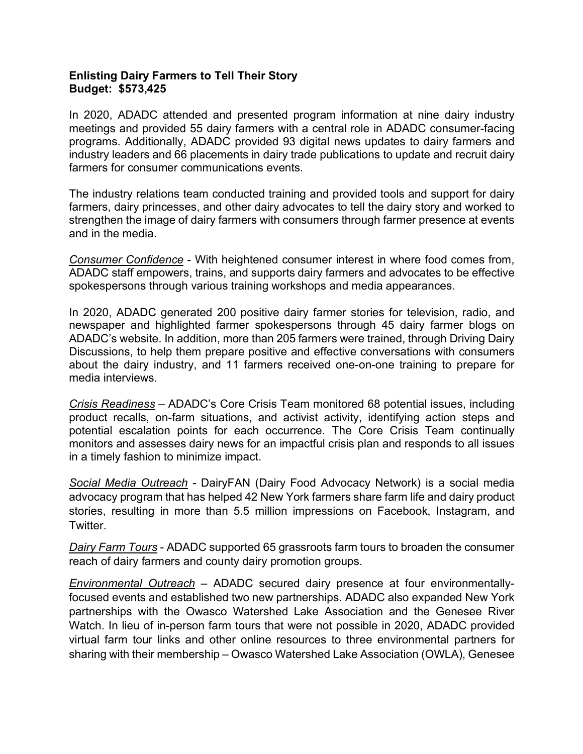#### **Enlisting Dairy Farmers to Tell Their Story Budget: \$573,425**

In 2020, ADADC attended and presented program information at nine dairy industry meetings and provided 55 dairy farmers with a central role in ADADC consumer-facing programs. Additionally, ADADC provided 93 digital news updates to dairy farmers and industry leaders and 66 placements in dairy trade publications to update and recruit dairy farmers for consumer communications events.

The industry relations team conducted training and provided tools and support for dairy farmers, dairy princesses, and other dairy advocates to tell the dairy story and worked to strengthen the image of dairy farmers with consumers through farmer presence at events and in the media.

*Consumer Confidence* - With heightened consumer interest in where food comes from, ADADC staff empowers, trains, and supports dairy farmers and advocates to be effective spokespersons through various training workshops and media appearances.

In 2020, ADADC generated 200 positive dairy farmer stories for television, radio, and newspaper and highlighted farmer spokespersons through 45 dairy farmer blogs on ADADC's website. In addition, more than 205 farmers were trained, through Driving Dairy Discussions, to help them prepare positive and effective conversations with consumers about the dairy industry, and 11 farmers received one-on-one training to prepare for media interviews.

*Crisis Readiness* – ADADC's Core Crisis Team monitored 68 potential issues, including product recalls, on-farm situations, and activist activity, identifying action steps and potential escalation points for each occurrence. The Core Crisis Team continually monitors and assesses dairy news for an impactful crisis plan and responds to all issues in a timely fashion to minimize impact.

*Social Media Outreach -* DairyFAN (Dairy Food Advocacy Network) is a social media advocacy program that has helped 42 New York farmers share farm life and dairy product stories, resulting in more than 5.5 million impressions on Facebook, Instagram, and Twitter.

*Dairy Farm Tours* - ADADC supported 65 grassroots farm tours to broaden the consumer reach of dairy farmers and county dairy promotion groups.

*Environmental Outreach* – ADADC secured dairy presence at four environmentallyfocused events and established two new partnerships. ADADC also expanded New York partnerships with the Owasco Watershed Lake Association and the Genesee River Watch. In lieu of in-person farm tours that were not possible in 2020, ADADC provided virtual farm tour links and other online resources to three environmental partners for sharing with their membership – Owasco Watershed Lake Association (OWLA), Genesee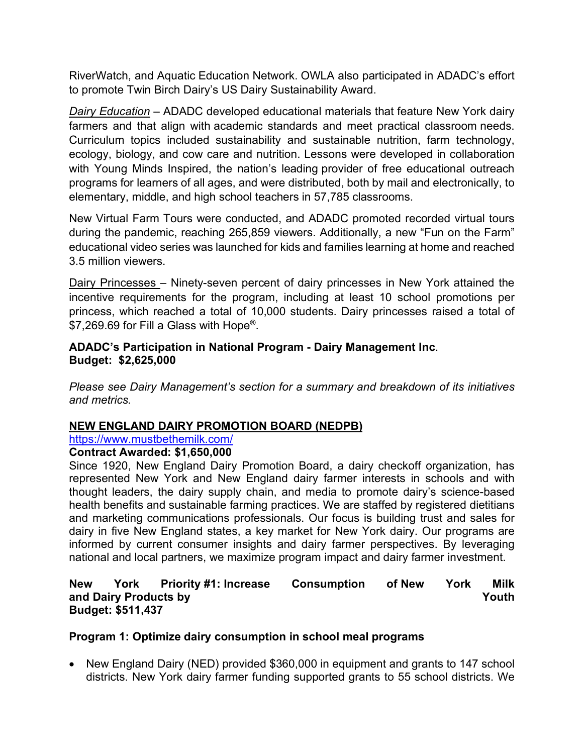RiverWatch, and Aquatic Education Network. OWLA also participated in ADADC's effort to promote Twin Birch Dairy's US Dairy Sustainability Award.

*Dairy Education* – ADADC developed educational materials that feature New York dairy farmers and that align with academic standards and meet practical classroom needs. Curriculum topics included sustainability and sustainable nutrition, farm technology, ecology, biology, and cow care and nutrition. Lessons were developed in collaboration with Young Minds Inspired, the nation's leading provider of free educational outreach programs for learners of all ages, and were distributed, both by mail and electronically, to elementary, middle, and high school teachers in 57,785 classrooms.

New Virtual Farm Tours were conducted, and ADADC promoted recorded virtual tours during the pandemic, reaching 265,859 viewers. Additionally, a new "Fun on the Farm" educational video series was launched for kids and families learning at home and reached 3.5 million viewers.

Dairy Princesses – Ninety-seven percent of dairy princesses in New York attained the incentive requirements for the program, including at least 10 school promotions per princess, which reached a total of 10,000 students. Dairy princesses raised a total of \$7,269.69 for Fill a Glass with Hope<sup>®</sup>.

#### **ADADC's Participation in National Program - Dairy Management Inc**. **Budget: \$2,625,000**

*Please see Dairy Management's section for a summary and breakdown of its initiatives and metrics.*

# **NEW ENGLAND DAIRY PROMOTION BOARD (NEDPB)**

https://www.mustbethemilk.com/

# **Contract Awarded: \$1,650,000**

Since 1920, New England Dairy Promotion Board, a dairy checkoff organization, has represented New York and New England dairy farmer interests in schools and with thought leaders, the dairy supply chain, and media to promote dairy's science-based health benefits and sustainable farming practices. We are staffed by registered dietitians and marketing communications professionals. Our focus is building trust and sales for dairy in five New England states, a key market for New York dairy. Our programs are informed by current consumer insights and dairy farmer perspectives. By leveraging national and local partners, we maximize program impact and dairy farmer investment.

#### **New York Priority #1: Increase Consumption of New York Milk and Dairy Products by Youth Budget: \$511,437**

# **Program 1: Optimize dairy consumption in school meal programs**

• New England Dairy (NED) provided \$360,000 in equipment and grants to 147 school districts. New York dairy farmer funding supported grants to 55 school districts. We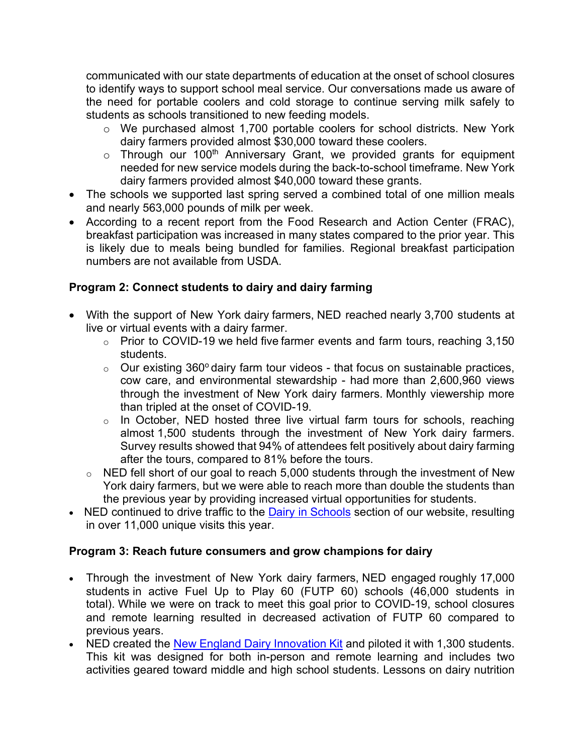communicated with our state departments of education at the onset of school closures to identify ways to support school meal service. Our conversations made us aware of the need for portable coolers and cold storage to continue serving milk safely to students as schools transitioned to new feeding models.

- o We purchased almost 1,700 portable coolers for school districts. New York dairy farmers provided almost \$30,000 toward these coolers.
- $\circ$  Through our 100<sup>th</sup> Anniversary Grant, we provided grants for equipment needed for new service models during the back-to-school timeframe. New York dairy farmers provided almost \$40,000 toward these grants.
- The schools we supported last spring served a combined total of one million meals and nearly 563,000 pounds of milk per week.
- According to a recent report from the Food Research and Action Center (FRAC), breakfast participation was increased in many states compared to the prior year. This is likely due to meals being bundled for families. Regional breakfast participation numbers are not available from USDA.

# **Program 2: Connect students to dairy and dairy farming**

- With the support of New York dairy farmers, NED reached nearly 3,700 students at live or virtual events with a dairy farmer.
	- o Prior to COVID-19 we held five farmer events and farm tours, reaching 3,150 students.
	- $\circ$  Our existing 360 $\circ$  dairy farm tour videos that focus on sustainable practices, cow care, and environmental stewardship - had more than 2,600,960 views through the investment of New York dairy farmers. Monthly viewership more than tripled at the onset of COVID-19.
	- o In October, NED hosted three live virtual farm tours for schools, reaching almost 1,500 students through the investment of New York dairy farmers. Survey results showed that 94% of attendees felt positively about dairy farming after the tours, compared to 81% before the tours.
	- o NED fell short of our goal to reach 5,000 students through the investment of New York dairy farmers, but we were able to reach more than double the students than the previous year by providing increased virtual opportunities for students.
- NED continued to drive traffic to the Dairy in Schools section of our website, resulting in over 11,000 unique visits this year.

# **Program 3: Reach future consumers and grow champions for dairy**

- Through the investment of New York dairy farmers, NED engaged roughly 17,000 students in active Fuel Up to Play 60 (FUTP 60) schools (46,000 students in total). While we were on track to meet this goal prior to COVID-19, school closures and remote learning resulted in decreased activation of FUTP 60 compared to previous years.
- NED created the New England Dairy Innovation Kit and piloted it with 1,300 students. This kit was designed for both in-person and remote learning and includes two activities geared toward middle and high school students. Lessons on dairy nutrition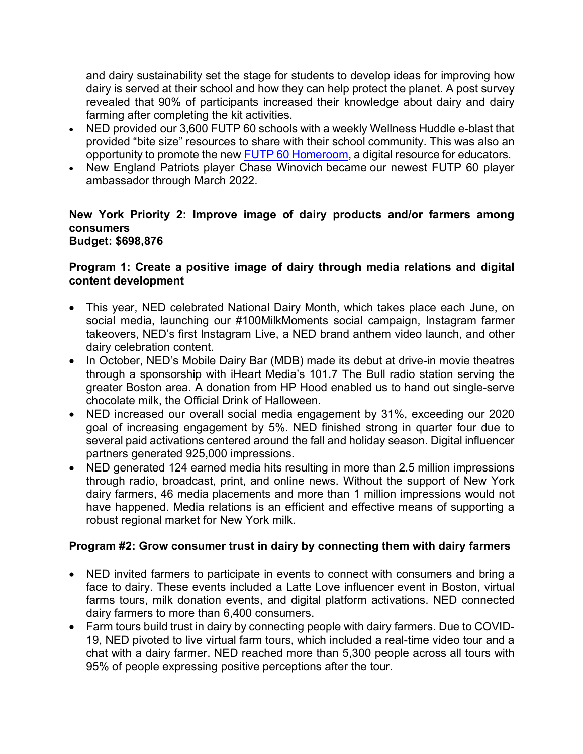and dairy sustainability set the stage for students to develop ideas for improving how dairy is served at their school and how they can help protect the planet. A post survey revealed that 90% of participants increased their knowledge about dairy and dairy farming after completing the kit activities.

- NED provided our 3,600 FUTP 60 schools with a weekly Wellness Huddle e-blast that provided "bite size" resources to share with their school community. This was also an opportunity to promote the new FUTP 60 Homeroom, a digital resource for educators.
- New England Patriots player Chase Winovich became our newest FUTP 60 player ambassador through March 2022.

#### **New York Priority 2: Improve image of dairy products and/or farmers among consumers Budget: \$698,876**

#### **Program 1: Create a positive image of dairy through media relations and digital content development**

- This year, NED celebrated National Dairy Month, which takes place each June, on social media, launching our #100MilkMoments social campaign, Instagram farmer takeovers, NED's first Instagram Live, a NED brand anthem video launch, and other dairy celebration content.
- In October, NED's Mobile Dairy Bar (MDB) made its debut at drive-in movie theatres through a sponsorship with iHeart Media's 101.7 The Bull radio station serving the greater Boston area. A donation from HP Hood enabled us to hand out single-serve chocolate milk, the Official Drink of Halloween.
- NED increased our overall social media engagement by 31%, exceeding our 2020 goal of increasing engagement by 5%. NED finished strong in quarter four due to several paid activations centered around the fall and holiday season. Digital influencer partners generated 925,000 impressions.
- NED generated 124 earned media hits resulting in more than 2.5 million impressions through radio, broadcast, print, and online news. Without the support of New York dairy farmers, 46 media placements and more than 1 million impressions would not have happened. Media relations is an efficient and effective means of supporting a robust regional market for New York milk.

# **Program #2: Grow consumer trust in dairy by connecting them with dairy farmers**

- NED invited farmers to participate in events to connect with consumers and bring a face to dairy. These events included a Latte Love influencer event in Boston, virtual farms tours, milk donation events, and digital platform activations. NED connected dairy farmers to more than 6,400 consumers.
- Farm tours build trust in dairy by connecting people with dairy farmers. Due to COVID-19, NED pivoted to live virtual farm tours, which included a real-time video tour and a chat with a dairy farmer. NED reached more than 5,300 people across all tours with 95% of people expressing positive perceptions after the tour.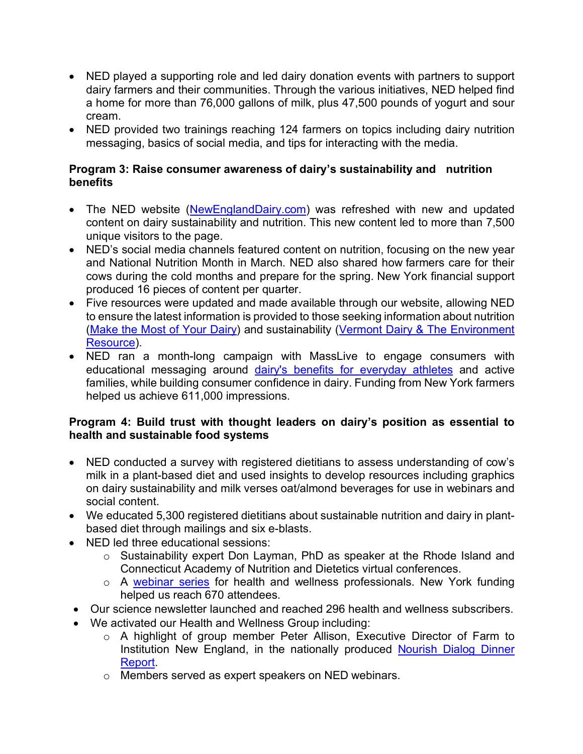- NED played a supporting role and led dairy donation events with partners to support dairy farmers and their communities. Through the various initiatives, NED helped find a home for more than 76,000 gallons of milk, plus 47,500 pounds of yogurt and sour cream.
- NED provided two trainings reaching 124 farmers on topics including dairy nutrition messaging, basics of social media, and tips for interacting with the media.

#### **Program 3: Raise consumer awareness of dairy's sustainability and nutrition benefits**

- The NED website (NewEnglandDairy.com) was refreshed with new and updated content on dairy sustainability and nutrition. This new content led to more than 7,500 unique visitors to the page.
- NED's social media channels featured content on nutrition, focusing on the new year and National Nutrition Month in March. NED also shared how farmers care for their cows during the cold months and prepare for the spring. New York financial support produced 16 pieces of content per quarter.
- Five resources were updated and made available through our website, allowing NED to ensure the latest information is provided to those seeking information about nutrition (Make the Most of Your Dairy) and sustainability (Vermont Dairy & The Environment Resource).
- NED ran a month-long campaign with MassLive to engage consumers with educational messaging around dairy's benefits for everyday athletes and active families, while building consumer confidence in dairy. Funding from New York farmers helped us achieve 611,000 impressions.

# **Program 4: Build trust with thought leaders on dairy's position as essential to health and sustainable food systems**

- NED conducted a survey with registered dietitians to assess understanding of cow's milk in a plant-based diet and used insights to develop resources including graphics on dairy sustainability and milk verses oat/almond beverages for use in webinars and social content.
- We educated 5,300 registered dietitians about sustainable nutrition and dairy in plantbased diet through mailings and six e-blasts.
- NED led three educational sessions:
	- o Sustainability expert Don Layman, PhD as speaker at the Rhode Island and Connecticut Academy of Nutrition and Dietetics virtual conferences.
	- o A webinar series for health and wellness professionals. New York funding helped us reach 670 attendees.
- Our science newsletter launched and reached 296 health and wellness subscribers.
- We activated our Health and Wellness Group including:
	- o A highlight of group member Peter Allison, Executive Director of Farm to Institution New England, in the nationally produced Nourish Dialog Dinner Report.
	- o Members served as expert speakers on NED webinars.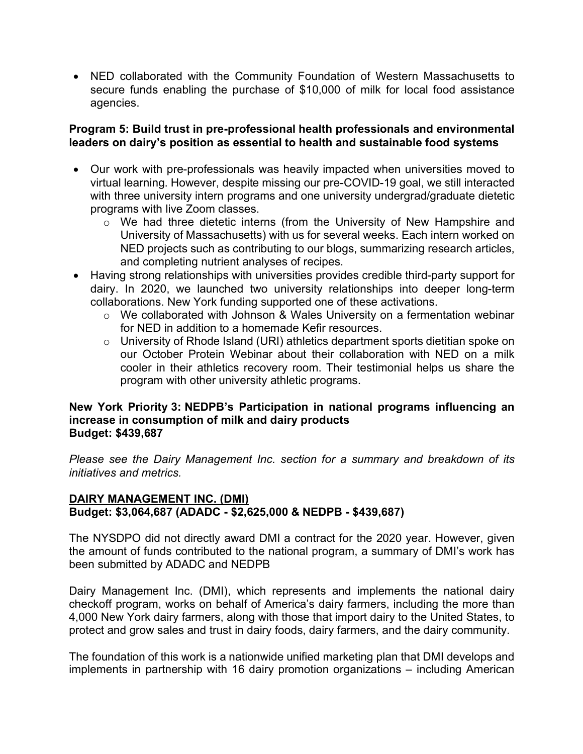• NED collaborated with the Community Foundation of Western Massachusetts to secure funds enabling the purchase of \$10,000 of milk for local food assistance agencies.

#### **Program 5: Build trust in pre-professional health professionals and environmental leaders on dairy's position as essential to health and sustainable food systems**

- Our work with pre-professionals was heavily impacted when universities moved to virtual learning. However, despite missing our pre-COVID-19 goal, we still interacted with three university intern programs and one university undergrad/graduate dietetic programs with live Zoom classes.
	- $\circ$  We had three dietetic interns (from the University of New Hampshire and University of Massachusetts) with us for several weeks. Each intern worked on NED projects such as contributing to our blogs, summarizing research articles, and completing nutrient analyses of recipes.
- Having strong relationships with universities provides credible third-party support for dairy. In 2020, we launched two university relationships into deeper long-term collaborations. New York funding supported one of these activations.
	- o We collaborated with Johnson & Wales University on a fermentation webinar for NED in addition to a homemade Kefir resources.
	- o University of Rhode Island (URI) athletics department sports dietitian spoke on our October Protein Webinar about their collaboration with NED on a milk cooler in their athletics recovery room. Their testimonial helps us share the program with other university athletic programs.

#### **New York Priority 3: NEDPB's Participation in national programs influencing an increase in consumption of milk and dairy products Budget: \$439,687**

*Please see the Dairy Management Inc. section for a summary and breakdown of its initiatives and metrics.* 

# **DAIRY MANAGEMENT INC. (DMI) Budget: \$3,064,687 (ADADC - \$2,625,000 & NEDPB - \$439,687)**

The NYSDPO did not directly award DMI a contract for the 2020 year. However, given the amount of funds contributed to the national program, a summary of DMI's work has been submitted by ADADC and NEDPB

Dairy Management Inc. (DMI), which represents and implements the national dairy checkoff program, works on behalf of America's dairy farmers, including the more than 4,000 New York dairy farmers, along with those that import dairy to the United States, to protect and grow sales and trust in dairy foods, dairy farmers, and the dairy community.

The foundation of this work is a nationwide unified marketing plan that DMI develops and implements in partnership with 16 dairy promotion organizations – including American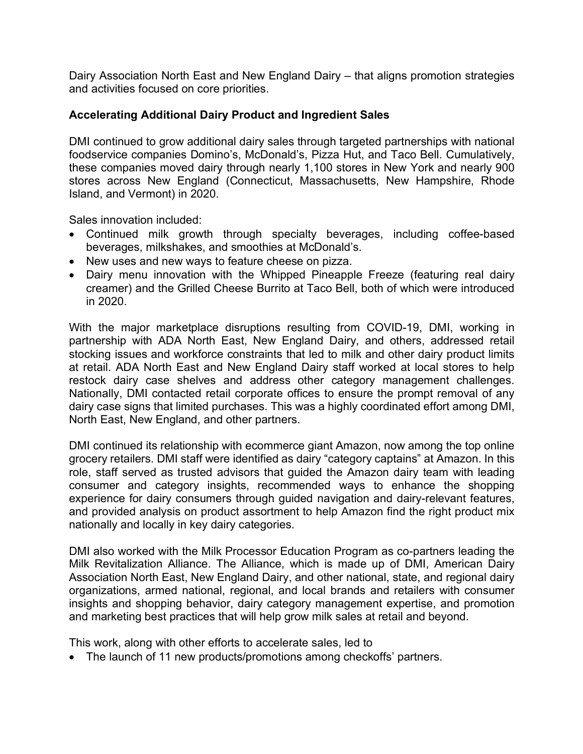Dairy Association North East and New England Dairy – that aligns promotion strategies and activities focused on core priorities.

#### **Accelerating Additional Dairy Product and Ingredient Sales**

DMI continued to grow additional dairy sales through targeted partnerships with national foodservice companies Domino's, McDonald's, Pizza Hut, and Taco Bell. Cumulatively, these companies moved dairy through nearly 1,100 stores in New York and nearly 900 stores across New England (Connecticut, Massachusetts, New Hampshire, Rhode Island, and Vermont) in 2020.

Sales innovation included:

- Continued milk growth through specialty beverages, including coffee-based beverages, milkshakes, and smoothies at McDonald's.
- New uses and new ways to feature cheese on pizza.
- Dairy menu innovation with the Whipped Pineapple Freeze (featuring real dairy creamer) and the Grilled Cheese Burrito at Taco Bell, both of which were introduced in 2020.

With the major marketplace disruptions resulting from COVID-19, DMI, working in partnership with ADA North East, New England Dairy, and others, addressed retail stocking issues and workforce constraints that led to milk and other dairy product limits at retail. ADA North East and New England Dairy staff worked at local stores to help restock dairy case shelves and address other category management challenges. Nationally, DMI contacted retail corporate offices to ensure the prompt removal of any dairy case signs that limited purchases. This was a highly coordinated effort among DMI, North East, New England, and other partners.

DMI continued its relationship with ecommerce giant Amazon, now among the top online grocery retailers. DMI staff were identified as dairy "category captains" at Amazon. In this role, staff served as trusted advisors that guided the Amazon dairy team with leading consumer and category insights, recommended ways to enhance the shopping experience for dairy consumers through guided navigation and dairy-relevant features, and provided analysis on product assortment to help Amazon find the right product mix nationally and locally in key dairy categories.

DMI also worked with the Milk Processor Education Program as co-partners leading the Milk Revitalization Alliance. The Alliance, which is made up of DMI, American Dairy Association North East, New England Dairy, and other national, state, and regional dairy organizations, armed national, regional, and local brands and retailers with consumer insights and shopping behavior, dairy category management expertise, and promotion and marketing best practices that will help grow milk sales at retail and beyond.

This work, along with other efforts to accelerate sales, led to

• The launch of 11 new products/promotions among checkoffs' partners.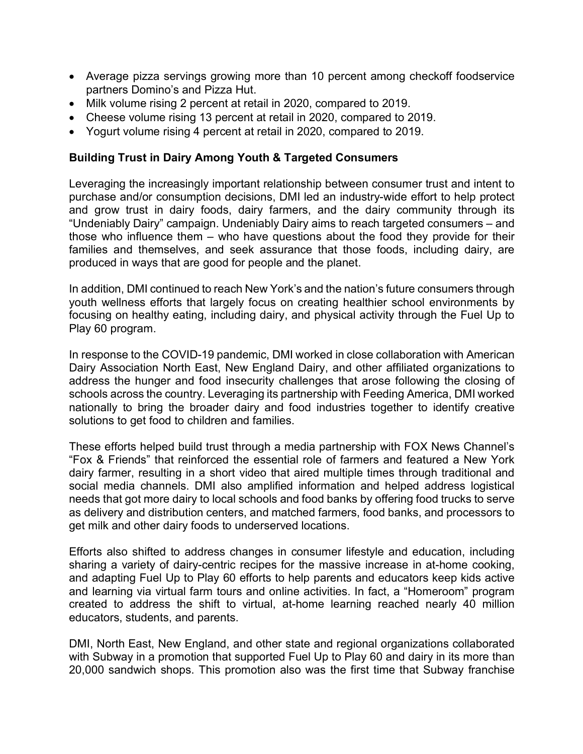- Average pizza servings growing more than 10 percent among checkoff foodservice partners Domino's and Pizza Hut.
- Milk volume rising 2 percent at retail in 2020, compared to 2019.
- Cheese volume rising 13 percent at retail in 2020, compared to 2019.
- Yogurt volume rising 4 percent at retail in 2020, compared to 2019.

#### **Building Trust in Dairy Among Youth & Targeted Consumers**

Leveraging the increasingly important relationship between consumer trust and intent to purchase and/or consumption decisions, DMI led an industry-wide effort to help protect and grow trust in dairy foods, dairy farmers, and the dairy community through its "Undeniably Dairy" campaign. Undeniably Dairy aims to reach targeted consumers – and those who influence them – who have questions about the food they provide for their families and themselves, and seek assurance that those foods, including dairy, are produced in ways that are good for people and the planet.

In addition, DMI continued to reach New York's and the nation's future consumers through youth wellness efforts that largely focus on creating healthier school environments by focusing on healthy eating, including dairy, and physical activity through the Fuel Up to Play 60 program.

In response to the COVID-19 pandemic, DMI worked in close collaboration with American Dairy Association North East, New England Dairy, and other affiliated organizations to address the hunger and food insecurity challenges that arose following the closing of schools across the country. Leveraging its partnership with Feeding America, DMI worked nationally to bring the broader dairy and food industries together to identify creative solutions to get food to children and families.

These efforts helped build trust through a media partnership with FOX News Channel's "Fox & Friends" that reinforced the essential role of farmers and featured a New York dairy farmer, resulting in a short video that aired multiple times through traditional and social media channels. DMI also amplified information and helped address logistical needs that got more dairy to local schools and food banks by offering food trucks to serve as delivery and distribution centers, and matched farmers, food banks, and processors to get milk and other dairy foods to underserved locations.

Efforts also shifted to address changes in consumer lifestyle and education, including sharing a variety of dairy-centric recipes for the massive increase in at-home cooking, and adapting Fuel Up to Play 60 efforts to help parents and educators keep kids active and learning via virtual farm tours and online activities. In fact, a "Homeroom" program created to address the shift to virtual, at-home learning reached nearly 40 million educators, students, and parents.

DMI, North East, New England, and other state and regional organizations collaborated with Subway in a promotion that supported Fuel Up to Play 60 and dairy in its more than 20,000 sandwich shops. This promotion also was the first time that Subway franchise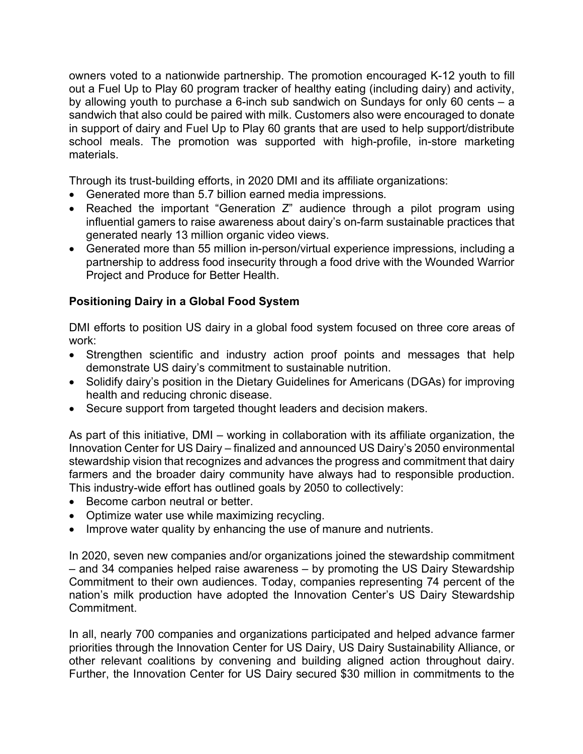owners voted to a nationwide partnership. The promotion encouraged K-12 youth to fill out a Fuel Up to Play 60 program tracker of healthy eating (including dairy) and activity, by allowing youth to purchase a 6-inch sub sandwich on Sundays for only 60 cents – a sandwich that also could be paired with milk. Customers also were encouraged to donate in support of dairy and Fuel Up to Play 60 grants that are used to help support/distribute school meals. The promotion was supported with high-profile, in-store marketing materials.

Through its trust-building efforts, in 2020 DMI and its affiliate organizations:

- Generated more than 5.7 billion earned media impressions.
- Reached the important "Generation Z" audience through a pilot program using influential gamers to raise awareness about dairy's on-farm sustainable practices that generated nearly 13 million organic video views.
- Generated more than 55 million in-person/virtual experience impressions, including a partnership to address food insecurity through a food drive with the Wounded Warrior Project and Produce for Better Health.

# **Positioning Dairy in a Global Food System**

DMI efforts to position US dairy in a global food system focused on three core areas of work:

- Strengthen scientific and industry action proof points and messages that help demonstrate US dairy's commitment to sustainable nutrition.
- Solidify dairy's position in the Dietary Guidelines for Americans (DGAs) for improving health and reducing chronic disease.
- Secure support from targeted thought leaders and decision makers.

As part of this initiative, DMI – working in collaboration with its affiliate organization, the Innovation Center for US Dairy – finalized and announced US Dairy's 2050 environmental stewardship vision that recognizes and advances the progress and commitment that dairy farmers and the broader dairy community have always had to responsible production. This industry-wide effort has outlined goals by 2050 to collectively:

- Become carbon neutral or better.
- Optimize water use while maximizing recycling.
- Improve water quality by enhancing the use of manure and nutrients.

In 2020, seven new companies and/or organizations joined the stewardship commitment – and 34 companies helped raise awareness – by promoting the US Dairy Stewardship Commitment to their own audiences. Today, companies representing 74 percent of the nation's milk production have adopted the Innovation Center's US Dairy Stewardship Commitment.

In all, nearly 700 companies and organizations participated and helped advance farmer priorities through the Innovation Center for US Dairy, US Dairy Sustainability Alliance, or other relevant coalitions by convening and building aligned action throughout dairy. Further, the Innovation Center for US Dairy secured \$30 million in commitments to the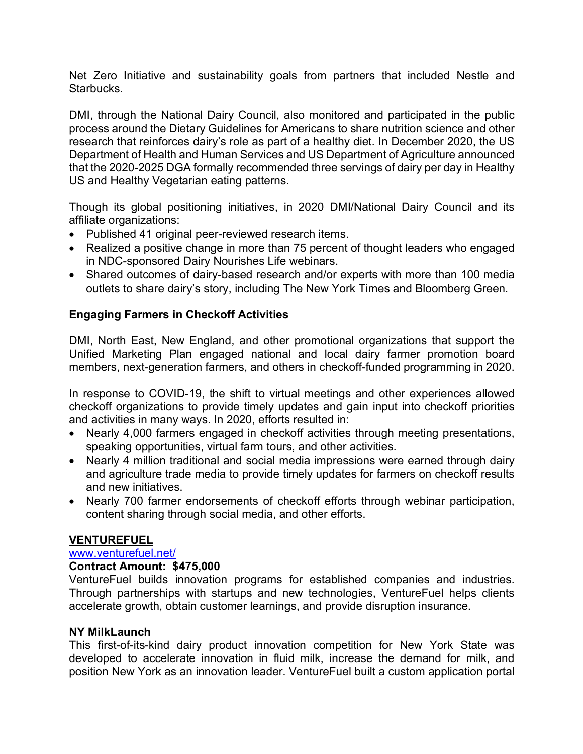Net Zero Initiative and sustainability goals from partners that included Nestle and Starbucks.

DMI, through the National Dairy Council, also monitored and participated in the public process around the Dietary Guidelines for Americans to share nutrition science and other research that reinforces dairy's role as part of a healthy diet. In December 2020, the US Department of Health and Human Services and US Department of Agriculture announced that the 2020-2025 DGA formally recommended three servings of dairy per day in Healthy US and Healthy Vegetarian eating patterns.

Though its global positioning initiatives, in 2020 DMI/National Dairy Council and its affiliate organizations:

- Published 41 original peer-reviewed research items.
- Realized a positive change in more than 75 percent of thought leaders who engaged in NDC-sponsored Dairy Nourishes Life webinars.
- Shared outcomes of dairy-based research and/or experts with more than 100 media outlets to share dairy's story, including The New York Times and Bloomberg Green*.*

# **Engaging Farmers in Checkoff Activities**

DMI, North East, New England, and other promotional organizations that support the Unified Marketing Plan engaged national and local dairy farmer promotion board members, next-generation farmers, and others in checkoff-funded programming in 2020.

In response to COVID-19, the shift to virtual meetings and other experiences allowed checkoff organizations to provide timely updates and gain input into checkoff priorities and activities in many ways. In 2020, efforts resulted in:

- Nearly 4,000 farmers engaged in checkoff activities through meeting presentations, speaking opportunities, virtual farm tours, and other activities.
- Nearly 4 million traditional and social media impressions were earned through dairy and agriculture trade media to provide timely updates for farmers on checkoff results and new initiatives.
- Nearly 700 farmer endorsements of checkoff efforts through webinar participation, content sharing through social media, and other efforts.

#### **VENTUREFUEL**

#### www.venturefuel.net/

#### **Contract Amount: \$475,000**

VentureFuel builds innovation programs for established companies and industries. Through partnerships with startups and new technologies, VentureFuel helps clients accelerate growth, obtain customer learnings, and provide disruption insurance.

#### **NY MilkLaunch**

This first-of-its-kind dairy product innovation competition for New York State was developed to accelerate innovation in fluid milk, increase the demand for milk, and position New York as an innovation leader. VentureFuel built a custom application portal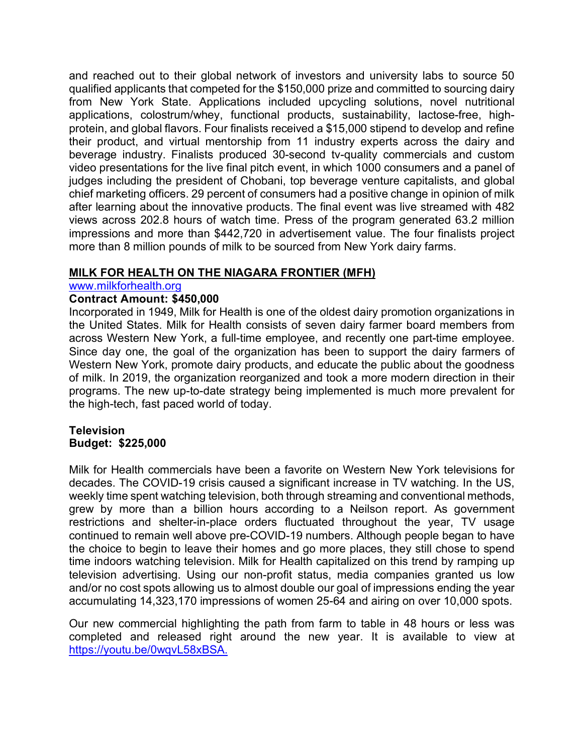and reached out to their global network of investors and university labs to source 50 qualified applicants that competed for the \$150,000 prize and committed to sourcing dairy from New York State. Applications included upcycling solutions, novel nutritional applications, colostrum/whey, functional products, sustainability, lactose-free, highprotein, and global flavors. Four finalists received a \$15,000 stipend to develop and refine their product, and virtual mentorship from 11 industry experts across the dairy and beverage industry. Finalists produced 30-second tv-quality commercials and custom video presentations for the live final pitch event, in which 1000 consumers and a panel of judges including the president of Chobani, top beverage venture capitalists, and global chief marketing officers. 29 percent of consumers had a positive change in opinion of milk after learning about the innovative products. The final event was live streamed with 482 views across 202.8 hours of watch time. Press of the program generated 63.2 million impressions and more than \$442,720 in advertisement value. The four finalists project more than 8 million pounds of milk to be sourced from New York dairy farms.

# **MILK FOR HEALTH ON THE NIAGARA FRONTIER (MFH)**

#### www.milkforhealth.org

# **Contract Amount: \$450,000**

Incorporated in 1949, Milk for Health is one of the oldest dairy promotion organizations in the United States. Milk for Health consists of seven dairy farmer board members from across Western New York, a full-time employee, and recently one part-time employee. Since day one, the goal of the organization has been to support the dairy farmers of Western New York, promote dairy products, and educate the public about the goodness of milk. In 2019, the organization reorganized and took a more modern direction in their programs. The new up-to-date strategy being implemented is much more prevalent for the high-tech, fast paced world of today.

#### **Television Budget: \$225,000**

Milk for Health commercials have been a favorite on Western New York televisions for decades. The COVID-19 crisis caused a significant increase in TV watching. In the US, weekly time spent watching television, both through streaming and conventional methods, grew by more than a billion hours according to a Neilson report. As government restrictions and shelter-in-place orders fluctuated throughout the year, TV usage continued to remain well above pre-COVID-19 numbers. Although people began to have the choice to begin to leave their homes and go more places, they still chose to spend time indoors watching television. Milk for Health capitalized on this trend by ramping up television advertising. Using our non-profit status, media companies granted us low and/or no cost spots allowing us to almost double our goal of impressions ending the year accumulating 14,323,170 impressions of women 25-64 and airing on over 10,000 spots.

Our new commercial highlighting the path from farm to table in 48 hours or less was completed and released right around the new year. It is available to view at https://youtu.be/0wqvL58xBSA.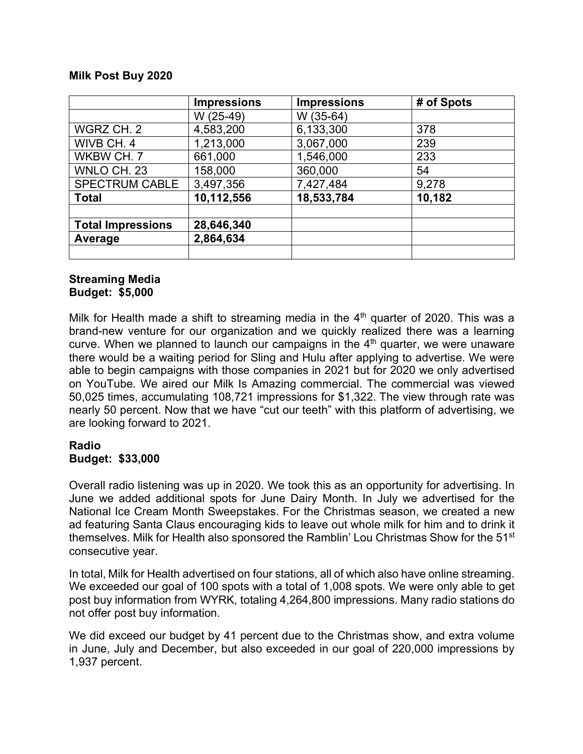#### **Milk Post Buy 2020**

|                          | <b>Impressions</b> | <b>Impressions</b> | # of Spots |
|--------------------------|--------------------|--------------------|------------|
|                          | W (25-49)          | W (35-64)          |            |
| WGRZ CH. 2               | 4,583,200          | 6,133,300          | 378        |
| WIVB CH. 4               | 1,213,000          | 3,067,000          | 239        |
| WKBW CH. 7               | 661,000            | 1,546,000          | 233        |
| WNLO CH. 23              | 158,000            | 360,000            | 54         |
| <b>SPECTRUM CABLE</b>    | 3,497,356          | 7,427,484          | 9,278      |
| <b>Total</b>             | 10,112,556         | 18,533,784         | 10,182     |
| <b>Total Impressions</b> | 28,646,340         |                    |            |
| Average                  | 2,864,634          |                    |            |
|                          |                    |                    |            |

#### **Streaming Media Budget: \$5,000**

Milk for Health made a shift to streaming media in the  $4<sup>th</sup>$  quarter of 2020. This was a brand-new venture for our organization and we quickly realized there was a learning curve. When we planned to launch our campaigns in the  $4<sup>th</sup>$  quarter, we were unaware there would be a waiting period for Sling and Hulu after applying to advertise. We were able to begin campaigns with those companies in 2021 but for 2020 we only advertised on YouTube. We aired our Milk Is Amazing commercial. The commercial was viewed 50,025 times, accumulating 108,721 impressions for \$1,322. The view through rate was nearly 50 percent. Now that we have "cut our teeth" with this platform of advertising, we are looking forward to 2021.

#### **Radio Budget: \$33,000**

Overall radio listening was up in 2020. We took this as an opportunity for advertising. In June we added additional spots for June Dairy Month. In July we advertised for the National Ice Cream Month Sweepstakes. For the Christmas season, we created a new ad featuring Santa Claus encouraging kids to leave out whole milk for him and to drink it themselves. Milk for Health also sponsored the Ramblin' Lou Christmas Show for the 51st consecutive year.

In total, Milk for Health advertised on four stations, all of which also have online streaming. We exceeded our goal of 100 spots with a total of 1,008 spots. We were only able to get post buy information from WYRK, totaling 4,264,800 impressions. Many radio stations do not offer post buy information.

We did exceed our budget by 41 percent due to the Christmas show, and extra volume in June, July and December, but also exceeded in our goal of 220,000 impressions by 1,937 percent.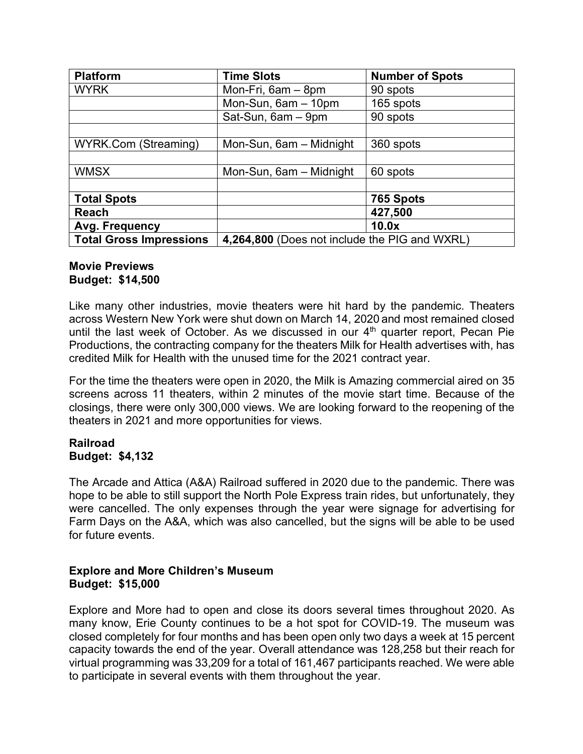| <b>Platform</b>                | <b>Time Slots</b>                             | <b>Number of Spots</b> |  |
|--------------------------------|-----------------------------------------------|------------------------|--|
| <b>WYRK</b>                    | Mon-Fri, 6am - 8pm                            | 90 spots               |  |
|                                | Mon-Sun, 6am - 10pm                           | 165 spots              |  |
|                                | Sat-Sun, 6am - 9pm                            | 90 spots               |  |
|                                |                                               |                        |  |
| <b>WYRK.Com (Streaming)</b>    | Mon-Sun, 6am - Midnight                       | 360 spots              |  |
|                                |                                               |                        |  |
| <b>WMSX</b>                    | Mon-Sun, 6am - Midnight                       | 60 spots               |  |
|                                |                                               |                        |  |
| <b>Total Spots</b>             |                                               | 765 Spots              |  |
| <b>Reach</b>                   |                                               | 427,500                |  |
| Avg. Frequency                 |                                               | 10.0x                  |  |
| <b>Total Gross Impressions</b> | 4,264,800 (Does not include the PIG and WXRL) |                        |  |

#### **Movie Previews Budget: \$14,500**

Like many other industries, movie theaters were hit hard by the pandemic. Theaters across Western New York were shut down on March 14, 2020 and most remained closed until the last week of October. As we discussed in our 4<sup>th</sup> quarter report, Pecan Pie Productions, the contracting company for the theaters Milk for Health advertises with, has credited Milk for Health with the unused time for the 2021 contract year.

For the time the theaters were open in 2020, the Milk is Amazing commercial aired on 35 screens across 11 theaters, within 2 minutes of the movie start time. Because of the closings, there were only 300,000 views. We are looking forward to the reopening of the theaters in 2021 and more opportunities for views.

#### **Railroad Budget: \$4,132**

The Arcade and Attica (A&A) Railroad suffered in 2020 due to the pandemic. There was hope to be able to still support the North Pole Express train rides, but unfortunately, they were cancelled. The only expenses through the year were signage for advertising for Farm Days on the A&A, which was also cancelled, but the signs will be able to be used for future events.

#### **Explore and More Children's Museum Budget: \$15,000**

Explore and More had to open and close its doors several times throughout 2020. As many know, Erie County continues to be a hot spot for COVID-19. The museum was closed completely for four months and has been open only two days a week at 15 percent capacity towards the end of the year. Overall attendance was 128,258 but their reach for virtual programming was 33,209 for a total of 161,467 participants reached. We were able to participate in several events with them throughout the year.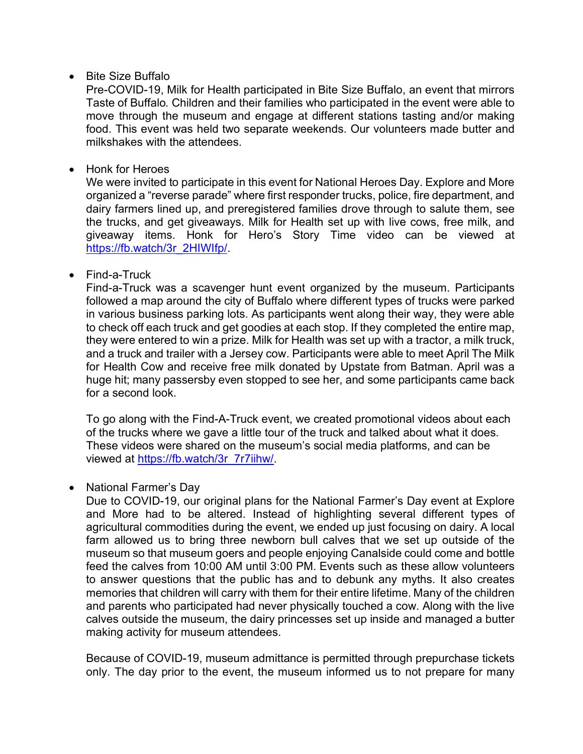• Bite Size Buffalo

Pre-COVID-19, Milk for Health participated in Bite Size Buffalo, an event that mirrors Taste of Buffalo*.* Children and their families who participated in the event were able to move through the museum and engage at different stations tasting and/or making food. This event was held two separate weekends. Our volunteers made butter and milkshakes with the attendees.

• Honk for Heroes

We were invited to participate in this event for National Heroes Day. Explore and More organized a "reverse parade" where first responder trucks, police, fire department, and dairy farmers lined up, and preregistered families drove through to salute them, see the trucks, and get giveaways. Milk for Health set up with live cows, free milk, and giveaway items. Honk for Hero's Story Time video can be viewed at https://fb.watch/3r\_2HIWIfp/.

• Find-a-Truck

Find-a-Truck was a scavenger hunt event organized by the museum. Participants followed a map around the city of Buffalo where different types of trucks were parked in various business parking lots. As participants went along their way, they were able to check off each truck and get goodies at each stop. If they completed the entire map, they were entered to win a prize. Milk for Health was set up with a tractor, a milk truck, and a truck and trailer with a Jersey cow. Participants were able to meet April The Milk for Health Cow and receive free milk donated by Upstate from Batman. April was a huge hit; many passersby even stopped to see her, and some participants came back for a second look.

To go along with the Find-A-Truck event, we created promotional videos about each of the trucks where we gave a little tour of the truck and talked about what it does. These videos were shared on the museum's social media platforms, and can be viewed at https://fb.watch/3r\_7r7iihw/.

• National Farmer's Day

Due to COVID-19, our original plans for the National Farmer's Day event at Explore and More had to be altered. Instead of highlighting several different types of agricultural commodities during the event, we ended up just focusing on dairy. A local farm allowed us to bring three newborn bull calves that we set up outside of the museum so that museum goers and people enjoying Canalside could come and bottle feed the calves from 10:00 AM until 3:00 PM. Events such as these allow volunteers to answer questions that the public has and to debunk any myths. It also creates memories that children will carry with them for their entire lifetime. Many of the children and parents who participated had never physically touched a cow. Along with the live calves outside the museum, the dairy princesses set up inside and managed a butter making activity for museum attendees.

Because of COVID-19, museum admittance is permitted through prepurchase tickets only. The day prior to the event, the museum informed us to not prepare for many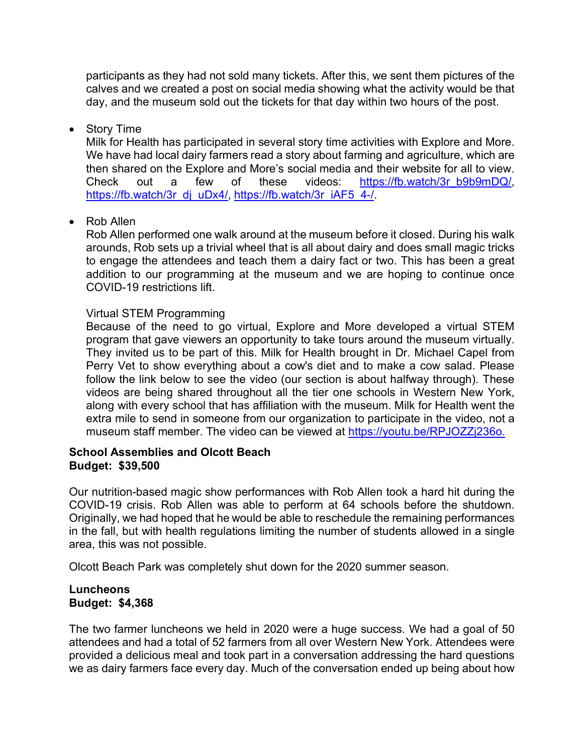participants as they had not sold many tickets. After this, we sent them pictures of the calves and we created a post on social media showing what the activity would be that day, and the museum sold out the tickets for that day within two hours of the post.

#### • Story Time

Milk for Health has participated in several story time activities with Explore and More. We have had local dairy farmers read a story about farming and agriculture, which are then shared on the Explore and More's social media and their website for all to view. Check out a few of these videos: https://fb.watch/3r\_b9b9mDQ/, https://fb.watch/3r\_dj\_uDx4/, https://fb.watch/3r\_iAF5\_4-/.

# • Rob Allen

Rob Allen performed one walk around at the museum before it closed. During his walk arounds, Rob sets up a trivial wheel that is all about dairy and does small magic tricks to engage the attendees and teach them a dairy fact or two. This has been a great addition to our programming at the museum and we are hoping to continue once COVID-19 restrictions lift.

#### Virtual STEM Programming

Because of the need to go virtual, Explore and More developed a virtual STEM program that gave viewers an opportunity to take tours around the museum virtually. They invited us to be part of this. Milk for Health brought in Dr. Michael Capel from Perry Vet to show everything about a cow's diet and to make a cow salad. Please follow the link below to see the video (our section is about halfway through). These videos are being shared throughout all the tier one schools in Western New York, along with every school that has affiliation with the museum. Milk for Health went the extra mile to send in someone from our organization to participate in the video, not a museum staff member. The video can be viewed at https://youtu.be/RPJOZZj236o.

#### **School Assemblies and Olcott Beach Budget: \$39,500**

Our nutrition-based magic show performances with Rob Allen took a hard hit during the COVID-19 crisis. Rob Allen was able to perform at 64 schools before the shutdown. Originally, we had hoped that he would be able to reschedule the remaining performances in the fall, but with health regulations limiting the number of students allowed in a single area, this was not possible.

Olcott Beach Park was completely shut down for the 2020 summer season.

#### **Luncheons Budget: \$4,368**

The two farmer luncheons we held in 2020 were a huge success. We had a goal of 50 attendees and had a total of 52 farmers from all over Western New York. Attendees were provided a delicious meal and took part in a conversation addressing the hard questions we as dairy farmers face every day. Much of the conversation ended up being about how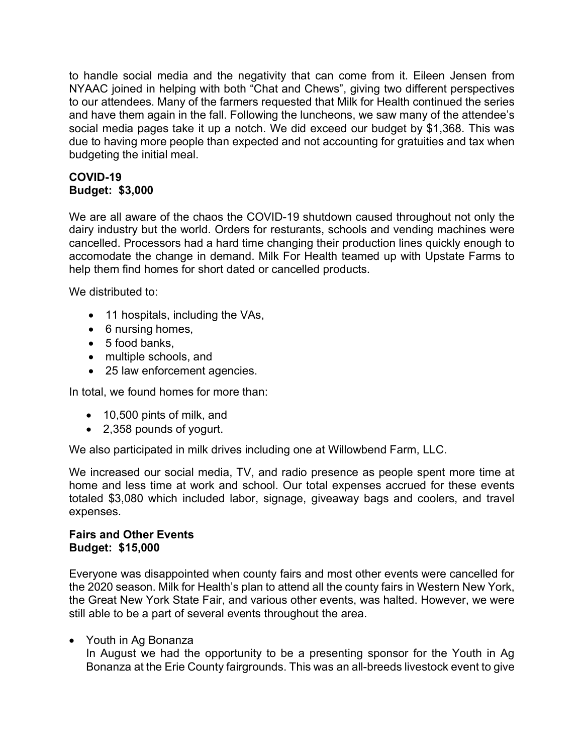to handle social media and the negativity that can come from it. Eileen Jensen from NYAAC joined in helping with both "Chat and Chews", giving two different perspectives to our attendees. Many of the farmers requested that Milk for Health continued the series and have them again in the fall. Following the luncheons, we saw many of the attendee's social media pages take it up a notch. We did exceed our budget by \$1,368. This was due to having more people than expected and not accounting for gratuities and tax when budgeting the initial meal.

# **COVID-19 Budget: \$3,000**

We are all aware of the chaos the COVID-19 shutdown caused throughout not only the dairy industry but the world. Orders for resturants, schools and vending machines were cancelled. Processors had a hard time changing their production lines quickly enough to accomodate the change in demand. Milk For Health teamed up with Upstate Farms to help them find homes for short dated or cancelled products.

We distributed to:

- 11 hospitals, including the VAs,
- 6 nursing homes,
- 5 food banks,
- multiple schools, and
- 25 law enforcement agencies.

In total, we found homes for more than:

- 10,500 pints of milk, and
- 2,358 pounds of yogurt.

We also participated in milk drives including one at Willowbend Farm, LLC.

We increased our social media, TV, and radio presence as people spent more time at home and less time at work and school. Our total expenses accrued for these events totaled \$3,080 which included labor, signage, giveaway bags and coolers, and travel expenses.

#### **Fairs and Other Events Budget: \$15,000**

Everyone was disappointed when county fairs and most other events were cancelled for the 2020 season. Milk for Health's plan to attend all the county fairs in Western New York, the Great New York State Fair, and various other events, was halted. However, we were still able to be a part of several events throughout the area.

• Youth in Ag Bonanza

In August we had the opportunity to be a presenting sponsor for the Youth in Ag Bonanza at the Erie County fairgrounds. This was an all-breeds livestock event to give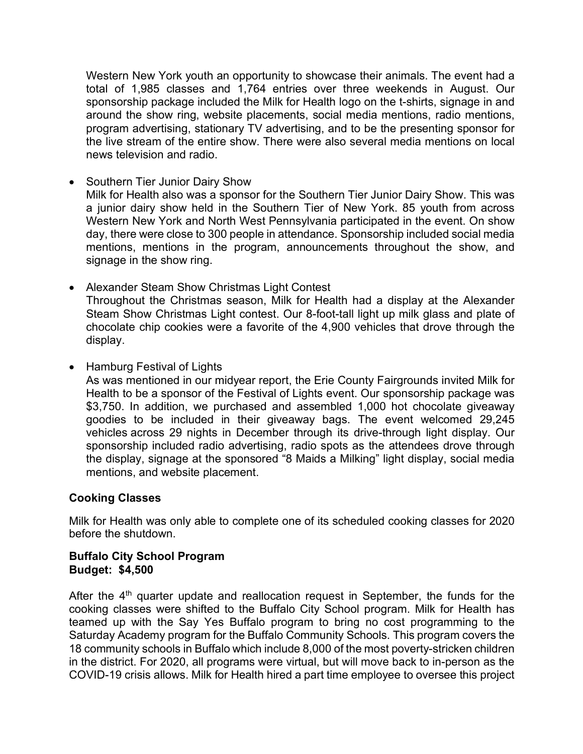Western New York youth an opportunity to showcase their animals. The event had a total of 1,985 classes and 1,764 entries over three weekends in August. Our sponsorship package included the Milk for Health logo on the t-shirts, signage in and around the show ring, website placements, social media mentions, radio mentions, program advertising, stationary TV advertising, and to be the presenting sponsor for the live stream of the entire show. There were also several media mentions on local news television and radio.

• Southern Tier Junior Dairy Show

Milk for Health also was a sponsor for the Southern Tier Junior Dairy Show. This was a junior dairy show held in the Southern Tier of New York. 85 youth from across Western New York and North West Pennsylvania participated in the event. On show day, there were close to 300 people in attendance. Sponsorship included social media mentions, mentions in the program, announcements throughout the show, and signage in the show ring.

- Alexander Steam Show Christmas Light Contest Throughout the Christmas season, Milk for Health had a display at the Alexander Steam Show Christmas Light contest. Our 8-foot-tall light up milk glass and plate of chocolate chip cookies were a favorite of the 4,900 vehicles that drove through the display.
- Hamburg Festival of Lights

As was mentioned in our midyear report, the Erie County Fairgrounds invited Milk for Health to be a sponsor of the Festival of Lights event. Our sponsorship package was \$3,750. In addition, we purchased and assembled 1,000 hot chocolate giveaway goodies to be included in their giveaway bags. The event welcomed 29,245 vehicles across 29 nights in December through its drive-through light display. Our sponsorship included radio advertising, radio spots as the attendees drove through the display, signage at the sponsored "8 Maids a Milking" light display, social media mentions, and website placement.

#### **Cooking Classes**

Milk for Health was only able to complete one of its scheduled cooking classes for 2020 before the shutdown.

#### **Buffalo City School Program Budget: \$4,500**

After the  $4<sup>th</sup>$  quarter update and reallocation request in September, the funds for the cooking classes were shifted to the Buffalo City School program. Milk for Health has teamed up with the Say Yes Buffalo program to bring no cost programming to the Saturday Academy program for the Buffalo Community Schools. This program covers the 18 community schools in Buffalo which include 8,000 of the most poverty-stricken children in the district. For 2020, all programs were virtual, but will move back to in-person as the COVID-19 crisis allows. Milk for Health hired a part time employee to oversee this project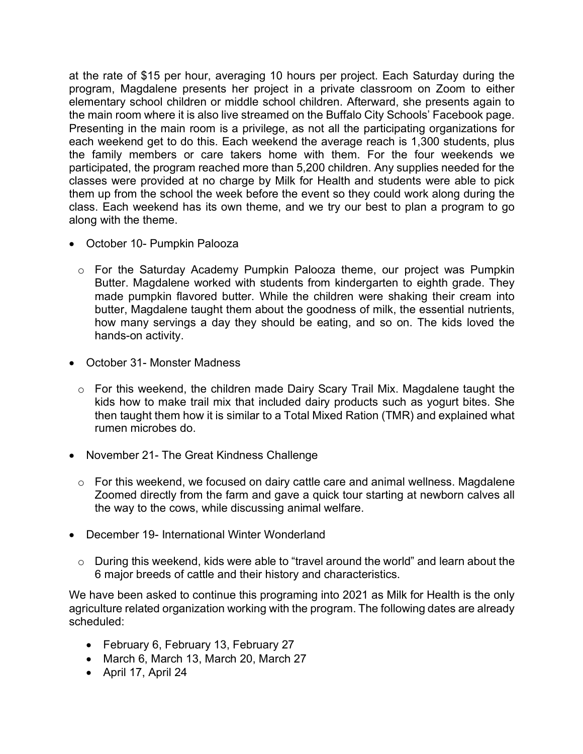at the rate of \$15 per hour, averaging 10 hours per project. Each Saturday during the program, Magdalene presents her project in a private classroom on Zoom to either elementary school children or middle school children. Afterward, she presents again to the main room where it is also live streamed on the Buffalo City Schools' Facebook page. Presenting in the main room is a privilege, as not all the participating organizations for each weekend get to do this. Each weekend the average reach is 1,300 students, plus the family members or care takers home with them. For the four weekends we participated, the program reached more than 5,200 children. Any supplies needed for the classes were provided at no charge by Milk for Health and students were able to pick them up from the school the week before the event so they could work along during the class. Each weekend has its own theme, and we try our best to plan a program to go along with the theme.

- October 10- Pumpkin Palooza
	- o For the Saturday Academy Pumpkin Palooza theme, our project was Pumpkin Butter. Magdalene worked with students from kindergarten to eighth grade. They made pumpkin flavored butter. While the children were shaking their cream into butter, Magdalene taught them about the goodness of milk, the essential nutrients, how many servings a day they should be eating, and so on. The kids loved the hands-on activity.
- October 31- Monster Madness
	- o For this weekend, the children made Dairy Scary Trail Mix. Magdalene taught the kids how to make trail mix that included dairy products such as yogurt bites. She then taught them how it is similar to a Total Mixed Ration (TMR) and explained what rumen microbes do.
- November 21- The Great Kindness Challenge
	- o For this weekend, we focused on dairy cattle care and animal wellness. Magdalene Zoomed directly from the farm and gave a quick tour starting at newborn calves all the way to the cows, while discussing animal welfare.
- December 19- International Winter Wonderland
	- o During this weekend, kids were able to "travel around the world" and learn about the 6 major breeds of cattle and their history and characteristics.

We have been asked to continue this programing into 2021 as Milk for Health is the only agriculture related organization working with the program. The following dates are already scheduled:

- February 6, February 13, February 27
- March 6, March 13, March 20, March 27
- April 17, April 24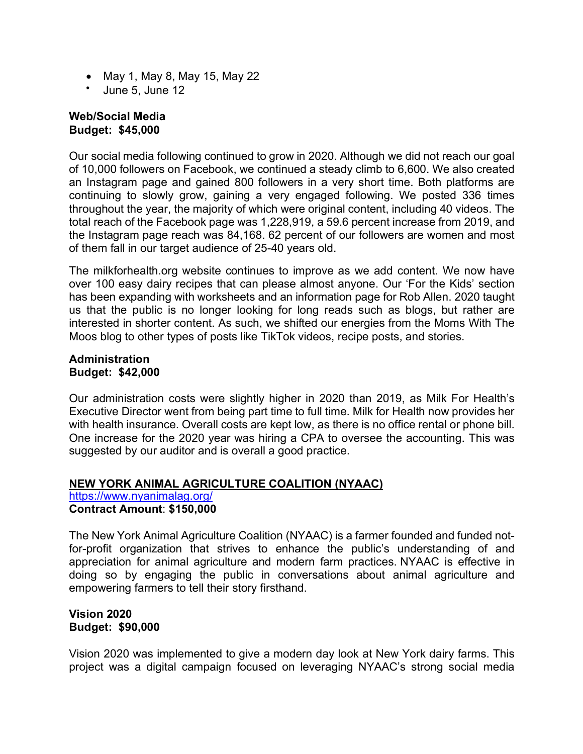- May 1, May 8, May 15, May 22
- June 5, June 12

#### **Web/Social Media Budget: \$45,000**

Our social media following continued to grow in 2020. Although we did not reach our goal of 10,000 followers on Facebook, we continued a steady climb to 6,600. We also created an Instagram page and gained 800 followers in a very short time. Both platforms are continuing to slowly grow, gaining a very engaged following. We posted 336 times throughout the year, the majority of which were original content, including 40 videos. The total reach of the Facebook page was 1,228,919, a 59.6 percent increase from 2019, and the Instagram page reach was 84,168. 62 percent of our followers are women and most of them fall in our target audience of 25-40 years old.

The milkforhealth.org website continues to improve as we add content. We now have over 100 easy dairy recipes that can please almost anyone. Our 'For the Kids' section has been expanding with worksheets and an information page for Rob Allen. 2020 taught us that the public is no longer looking for long reads such as blogs, but rather are interested in shorter content. As such, we shifted our energies from the Moms With The Moos blog to other types of posts like TikTok videos, recipe posts, and stories.

#### **Administration Budget: \$42,000**

Our administration costs were slightly higher in 2020 than 2019, as Milk For Health's Executive Director went from being part time to full time. Milk for Health now provides her with health insurance. Overall costs are kept low, as there is no office rental or phone bill. One increase for the 2020 year was hiring a CPA to oversee the accounting. This was suggested by our auditor and is overall a good practice.

# **NEW YORK ANIMAL AGRICULTURE COALITION (NYAAC)**

https://www.nyanimalag.org/ **Contract Amount**: **\$150,000**

The New York Animal Agriculture Coalition (NYAAC) is a farmer founded and funded notfor-profit organization that strives to enhance the public's understanding of and appreciation for animal agriculture and modern farm practices. NYAAC is effective in doing so by engaging the public in conversations about animal agriculture and empowering farmers to tell their story firsthand.

# **Vision 2020 Budget: \$90,000**

Vision 2020 was implemented to give a modern day look at New York dairy farms. This project was a digital campaign focused on leveraging NYAAC's strong social media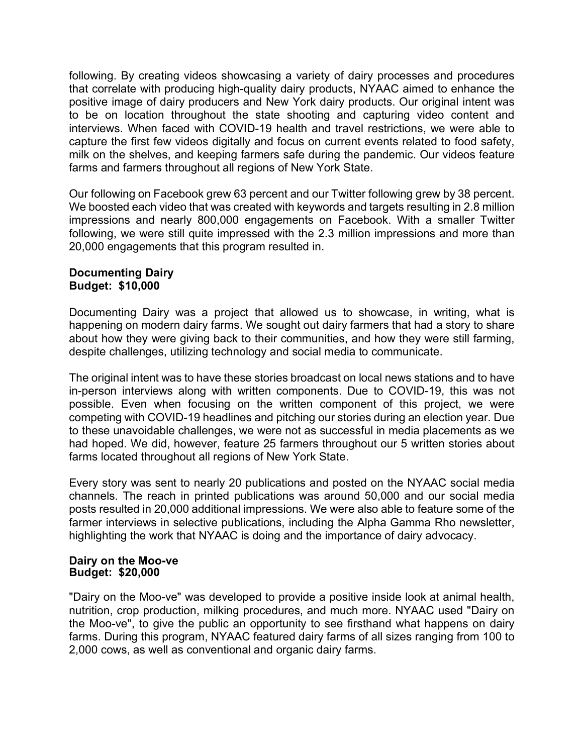following. By creating videos showcasing a variety of dairy processes and procedures that correlate with producing high-quality dairy products, NYAAC aimed to enhance the positive image of dairy producers and New York dairy products. Our original intent was to be on location throughout the state shooting and capturing video content and interviews. When faced with COVID-19 health and travel restrictions, we were able to capture the first few videos digitally and focus on current events related to food safety, milk on the shelves, and keeping farmers safe during the pandemic. Our videos feature farms and farmers throughout all regions of New York State.

Our following on Facebook grew 63 percent and our Twitter following grew by 38 percent. We boosted each video that was created with keywords and targets resulting in 2.8 million impressions and nearly 800,000 engagements on Facebook. With a smaller Twitter following, we were still quite impressed with the 2.3 million impressions and more than 20,000 engagements that this program resulted in.

#### **Documenting Dairy Budget: \$10,000**

Documenting Dairy was a project that allowed us to showcase, in writing, what is happening on modern dairy farms. We sought out dairy farmers that had a story to share about how they were giving back to their communities, and how they were still farming, despite challenges, utilizing technology and social media to communicate.

The original intent was to have these stories broadcast on local news stations and to have in-person interviews along with written components. Due to COVID-19, this was not possible. Even when focusing on the written component of this project, we were competing with COVID-19 headlines and pitching our stories during an election year. Due to these unavoidable challenges, we were not as successful in media placements as we had hoped. We did, however, feature 25 farmers throughout our 5 written stories about farms located throughout all regions of New York State.

Every story was sent to nearly 20 publications and posted on the NYAAC social media channels. The reach in printed publications was around 50,000 and our social media posts resulted in 20,000 additional impressions. We were also able to feature some of the farmer interviews in selective publications, including the Alpha Gamma Rho newsletter, highlighting the work that NYAAC is doing and the importance of dairy advocacy.

#### **Dairy on the Moo-ve Budget: \$20,000**

"Dairy on the Moo-ve" was developed to provide a positive inside look at animal health, nutrition, crop production, milking procedures, and much more. NYAAC used "Dairy on the Moo-ve", to give the public an opportunity to see firsthand what happens on dairy farms. During this program, NYAAC featured dairy farms of all sizes ranging from 100 to 2,000 cows, as well as conventional and organic dairy farms.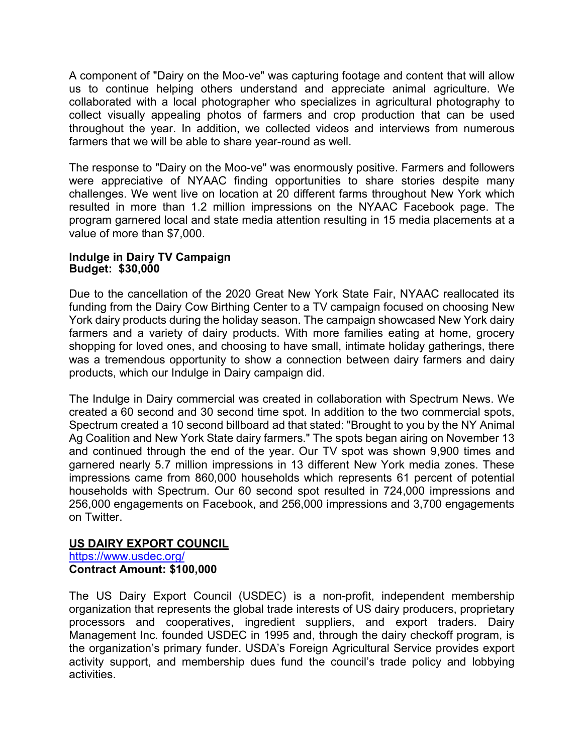A component of "Dairy on the Moo-ve" was capturing footage and content that will allow us to continue helping others understand and appreciate animal agriculture. We collaborated with a local photographer who specializes in agricultural photography to collect visually appealing photos of farmers and crop production that can be used throughout the year. In addition, we collected videos and interviews from numerous farmers that we will be able to share year-round as well.

The response to "Dairy on the Moo-ve" was enormously positive. Farmers and followers were appreciative of NYAAC finding opportunities to share stories despite many challenges. We went live on location at 20 different farms throughout New York which resulted in more than 1.2 million impressions on the NYAAC Facebook page. The program garnered local and state media attention resulting in 15 media placements at a value of more than \$7,000.

#### **Indulge in Dairy TV Campaign Budget: \$30,000**

Due to the cancellation of the 2020 Great New York State Fair, NYAAC reallocated its funding from the Dairy Cow Birthing Center to a TV campaign focused on choosing New York dairy products during the holiday season. The campaign showcased New York dairy farmers and a variety of dairy products. With more families eating at home, grocery shopping for loved ones, and choosing to have small, intimate holiday gatherings, there was a tremendous opportunity to show a connection between dairy farmers and dairy products, which our Indulge in Dairy campaign did.

The Indulge in Dairy commercial was created in collaboration with Spectrum News. We created a 60 second and 30 second time spot. In addition to the two commercial spots, Spectrum created a 10 second billboard ad that stated: "Brought to you by the NY Animal Ag Coalition and New York State dairy farmers." The spots began airing on November 13 and continued through the end of the year. Our TV spot was shown 9,900 times and garnered nearly 5.7 million impressions in 13 different New York media zones. These impressions came from 860,000 households which represents 61 percent of potential households with Spectrum. Our 60 second spot resulted in 724,000 impressions and 256,000 engagements on Facebook, and 256,000 impressions and 3,700 engagements on Twitter.

# **US DAIRY EXPORT COUNCIL**

https://www.usdec.org/ **Contract Amount: \$100,000**

The US Dairy Export Council (USDEC) is a non-profit, independent membership organization that represents the global trade interests of US dairy producers, proprietary processors and cooperatives, ingredient suppliers, and export traders. Dairy Management Inc. founded USDEC in 1995 and, through the dairy checkoff program, is the organization's primary funder. USDA's Foreign Agricultural Service provides export activity support, and membership dues fund the council's trade policy and lobbying activities.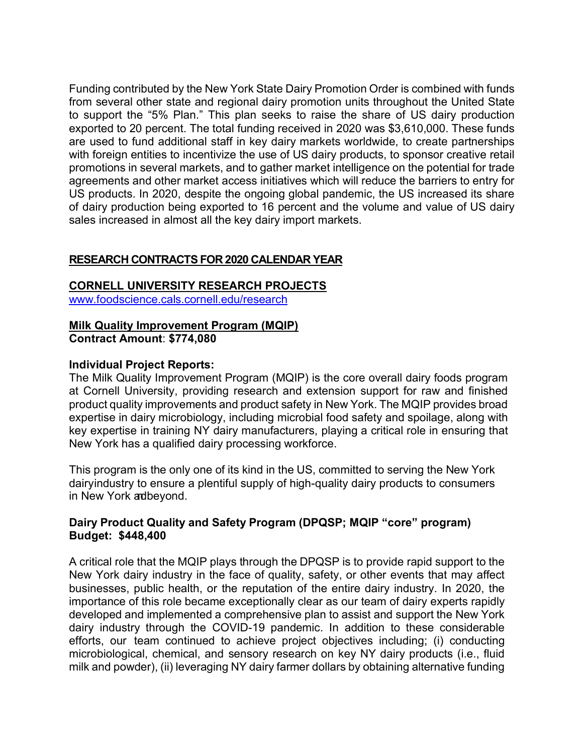Funding contributed by the New York State Dairy Promotion Order is combined with funds from several other state and regional dairy promotion units throughout the United State to support the "5% Plan." This plan seeks to raise the share of US dairy production exported to 20 percent. The total funding received in 2020 was \$3,610,000. These funds are used to fund additional staff in key dairy markets worldwide, to create partnerships with foreign entities to incentivize the use of US dairy products, to sponsor creative retail promotions in several markets, and to gather market intelligence on the potential for trade agreements and other market access initiatives which will reduce the barriers to entry for US products. In 2020, despite the ongoing global pandemic, the US increased its share of dairy production being exported to 16 percent and the volume and value of US dairy sales increased in almost all the key dairy import markets.

# **RESEARCH CONTRACTS FOR 2020 CALENDAR YEAR**

#### **CORNELL UNIVERSITY RESEARCH PROJECTS**

www.foodscience.cals.cornell.edu/research

# **Milk Quality Improvement Program (MQIP)**

**Contract Amount**: **\$774,080**

#### **Individual Project Reports:**

The Milk Quality Improvement Program (MQIP) is the core overall dairy foods program at Cornell University, providing research and extension support for raw and finished product quality improvements and product safety in New York. The MQIP provides broad expertise in dairy microbiology, including microbial food safety and spoilage, along with key expertise in training NY dairy manufacturers, playing a critical role in ensuring that New York has a qualified dairy processing workforce.

This program is the only one of its kind in the US, committed to serving the New York dairyindustry to ensure a plentiful supply of high-quality dairy products to consumers in New York adbeyond.

#### **Dairy Product Quality and Safety Program (DPQSP; MQIP "core" program) Budget: \$448,400**

A critical role that the MQIP plays through the DPQSP is to provide rapid support to the New York dairy industry in the face of quality, safety, or other events that may affect businesses, public health, or the reputation of the entire dairy industry. In 2020, the importance of this role became exceptionally clear as our team of dairy experts rapidly developed and implemented a comprehensive plan to assist and support the New York dairy industry through the COVID-19 pandemic. In addition to these considerable efforts, our team continued to achieve project objectives including; (i) conducting microbiological, chemical, and sensory research on key NY dairy products (i.e., fluid milk and powder), (ii) leveraging NY dairy farmer dollars by obtaining alternative funding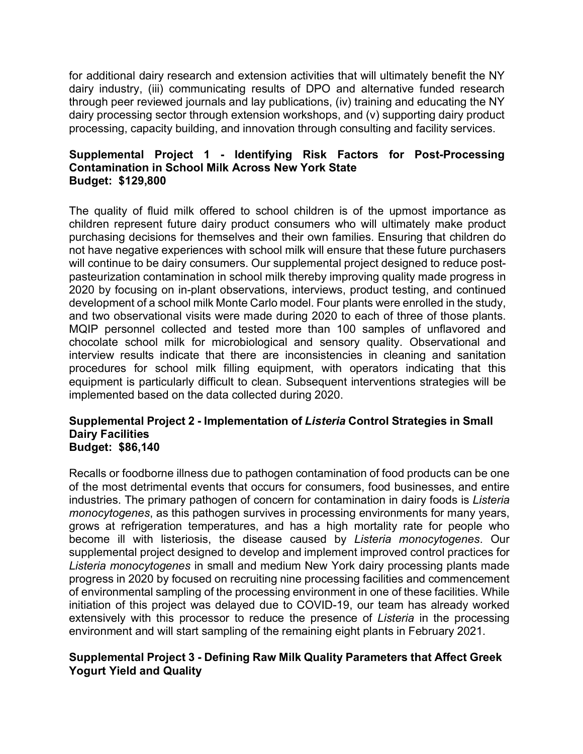for additional dairy research and extension activities that will ultimately benefit the NY dairy industry, (iii) communicating results of DPO and alternative funded research through peer reviewed journals and lay publications, (iv) training and educating the NY dairy processing sector through extension workshops, and (v) supporting dairy product processing, capacity building, and innovation through consulting and facility services.

#### **Supplemental Project 1 - Identifying Risk Factors for Post-Processing Contamination in School Milk Across New York State Budget: \$129,800**

The quality of fluid milk offered to school children is of the upmost importance as children represent future dairy product consumers who will ultimately make product purchasing decisions for themselves and their own families. Ensuring that children do not have negative experiences with school milk will ensure that these future purchasers will continue to be dairy consumers. Our supplemental project designed to reduce postpasteurization contamination in school milk thereby improving quality made progress in 2020 by focusing on in-plant observations, interviews, product testing, and continued development of a school milk Monte Carlo model. Four plants were enrolled in the study, and two observational visits were made during 2020 to each of three of those plants. MQIP personnel collected and tested more than 100 samples of unflavored and chocolate school milk for microbiological and sensory quality. Observational and interview results indicate that there are inconsistencies in cleaning and sanitation procedures for school milk filling equipment, with operators indicating that this equipment is particularly difficult to clean. Subsequent interventions strategies will be implemented based on the data collected during 2020.

#### **Supplemental Project 2 - Implementation of** *Listeria* **Control Strategies in Small Dairy Facilities Budget: \$86,140**

Recalls or foodborne illness due to pathogen contamination of food products can be one of the most detrimental events that occurs for consumers, food businesses, and entire industries. The primary pathogen of concern for contamination in dairy foods is *Listeria monocytogenes*, as this pathogen survives in processing environments for many years, grows at refrigeration temperatures, and has a high mortality rate for people who become ill with listeriosis, the disease caused by *Listeria monocytogenes*. Our supplemental project designed to develop and implement improved control practices for *Listeria monocytogenes* in small and medium New York dairy processing plants made progress in 2020 by focused on recruiting nine processing facilities and commencement of environmental sampling of the processing environment in one of these facilities. While initiation of this project was delayed due to COVID-19, our team has already worked extensively with this processor to reduce the presence of *Listeria* in the processing environment and will start sampling of the remaining eight plants in February 2021.

# **Supplemental Project 3 - Defining Raw Milk Quality Parameters that Affect Greek Yogurt Yield and Quality**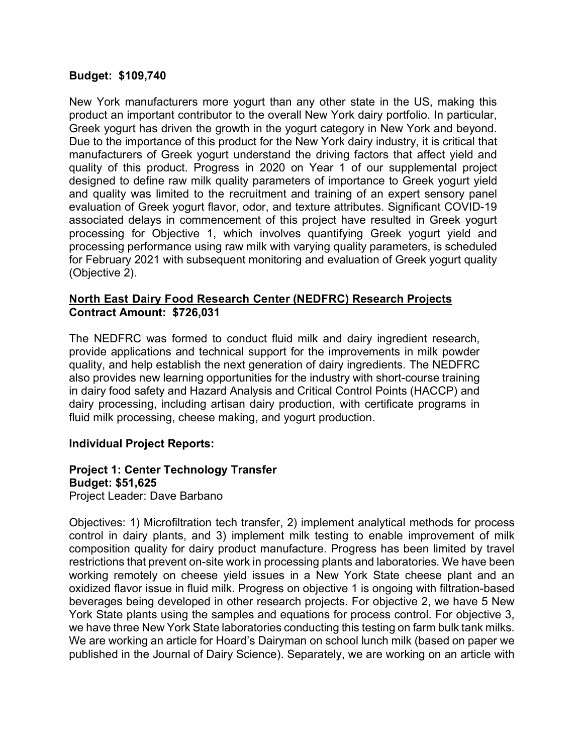#### **Budget: \$109,740**

New York manufacturers more yogurt than any other state in the US, making this product an important contributor to the overall New York dairy portfolio. In particular, Greek yogurt has driven the growth in the yogurt category in New York and beyond. Due to the importance of this product for the New York dairy industry, it is critical that manufacturers of Greek yogurt understand the driving factors that affect yield and quality of this product. Progress in 2020 on Year 1 of our supplemental project designed to define raw milk quality parameters of importance to Greek yogurt yield and quality was limited to the recruitment and training of an expert sensory panel evaluation of Greek yogurt flavor, odor, and texture attributes. Significant COVID-19 associated delays in commencement of this project have resulted in Greek yogurt processing for Objective 1, which involves quantifying Greek yogurt yield and processing performance using raw milk with varying quality parameters, is scheduled for February 2021 with subsequent monitoring and evaluation of Greek yogurt quality (Objective 2).

#### **North East Dairy Food Research Center (NEDFRC) Research Projects Contract Amount: \$726,031**

The NEDFRC was formed to conduct fluid milk and dairy ingredient research, provide applications and technical support for the improvements in milk powder quality, and help establish the next generation of dairy ingredients. The NEDFRC also provides new learning opportunities for the industry with short-course training in dairy food safety and Hazard Analysis and Critical Control Points (HACCP) and dairy processing, including artisan dairy production, with certificate programs in fluid milk processing, cheese making, and yogurt production.

#### **Individual Project Reports:**

#### **Project 1: Center Technology Transfer Budget: \$51,625** Project Leader: Dave Barbano

Objectives: 1) Microfiltration tech transfer, 2) implement analytical methods for process control in dairy plants, and 3) implement milk testing to enable improvement of milk composition quality for dairy product manufacture. Progress has been limited by travel restrictions that prevent on-site work in processing plants and laboratories. We have been working remotely on cheese yield issues in a New York State cheese plant and an oxidized flavor issue in fluid milk. Progress on objective 1 is ongoing with filtration-based beverages being developed in other research projects. For objective 2, we have 5 New York State plants using the samples and equations for process control. For objective 3, we have three New York State laboratories conducting this testing on farm bulk tank milks. We are working an article for Hoard's Dairyman on school lunch milk (based on paper we published in the Journal of Dairy Science). Separately, we are working on an article with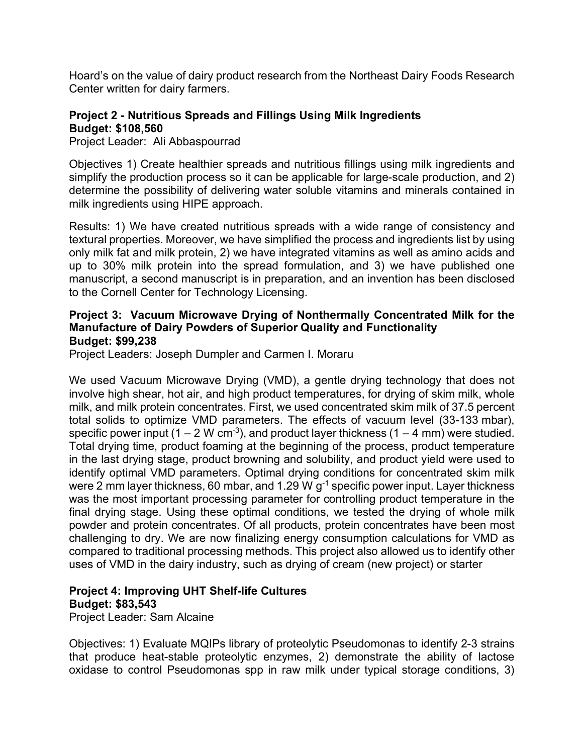Hoard's on the value of dairy product research from the Northeast Dairy Foods Research Center written for dairy farmers.

#### **Project 2 - Nutritious Spreads and Fillings Using Milk Ingredients Budget: \$108,560**

Project Leader:Ali Abbaspourrad

Objectives 1) Create healthier spreads and nutritious fillings using milk ingredients and simplify the production process so it can be applicable for large-scale production, and 2) determine the possibility of delivering water soluble vitamins and minerals contained in milk ingredients using HIPE approach.

Results: 1) We have created nutritious spreads with a wide range of consistency and textural properties. Moreover, we have simplified the process and ingredients list by using only milk fat and milk protein, 2) we have integrated vitamins as well as amino acids and up to 30% milk protein into the spread formulation, and 3) we have published one manuscript, a second manuscript is in preparation, and an invention has been disclosed to the Cornell Center for Technology Licensing.

#### **Project 3: Vacuum Microwave Drying of Nonthermally Concentrated Milk for the Manufacture of Dairy Powders of Superior Quality and Functionality Budget: \$99,238**

Project Leaders: Joseph Dumpler and Carmen I. Moraru

We used Vacuum Microwave Drying (VMD), a gentle drying technology that does not involve high shear, hot air, and high product temperatures, for drying of skim milk, whole milk, and milk protein concentrates. First, we used concentrated skim milk of 37.5 percent total solids to optimize VMD parameters. The effects of vacuum level (33-133 mbar), specific power input (1 – 2 W cm<sup>-3</sup>), and product layer thickness (1 – 4 mm) were studied. Total drying time, product foaming at the beginning of the process, product temperature in the last drying stage, product browning and solubility, and product yield were used to identify optimal VMD parameters. Optimal drying conditions for concentrated skim milk were 2 mm layer thickness, 60 mbar, and 1.29 W g<sup>-1</sup> specific power input. Layer thickness was the most important processing parameter for controlling product temperature in the final drying stage. Using these optimal conditions, we tested the drying of whole milk powder and protein concentrates. Of all products, protein concentrates have been most challenging to dry. We are now finalizing energy consumption calculations for VMD as compared to traditional processing methods. This project also allowed us to identify other uses of VMD in the dairy industry, such as drying of cream (new project) or starter

# **Project 4: Improving UHT Shelf-life Cultures Budget: \$83,543**

Project Leader: Sam Alcaine

Objectives: 1) Evaluate MQIPs library of proteolytic Pseudomonas to identify 2-3 strains that produce heat-stable proteolytic enzymes, 2) demonstrate the ability of lactose oxidase to control Pseudomonas spp in raw milk under typical storage conditions, 3)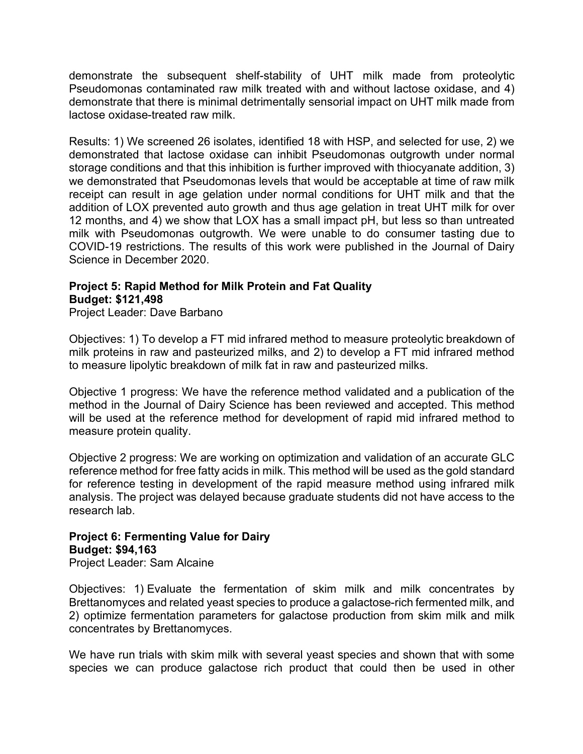demonstrate the subsequent shelf-stability of UHT milk made from proteolytic Pseudomonas contaminated raw milk treated with and without lactose oxidase, and 4) demonstrate that there is minimal detrimentally sensorial impact on UHT milk made from lactose oxidase-treated raw milk.

Results: 1) We screened 26 isolates, identified 18 with HSP, and selected for use, 2) we demonstrated that lactose oxidase can inhibit Pseudomonas outgrowth under normal storage conditions and that this inhibition is further improved with thiocyanate addition, 3) we demonstrated that Pseudomonas levels that would be acceptable at time of raw milk receipt can result in age gelation under normal conditions for UHT milk and that the addition of LOX prevented auto growth and thus age gelation in treat UHT milk for over 12 months, and 4) we show that LOX has a small impact pH, but less so than untreated milk with Pseudomonas outgrowth. We were unable to do consumer tasting due to COVID-19 restrictions. The results of this work were published in the Journal of Dairy Science in December 2020.

# **Project 5: Rapid Method for Milk Protein and Fat Quality Budget: \$121,498**

Project Leader: Dave Barbano

Objectives: 1) To develop a FT mid infrared method to measure proteolytic breakdown of milk proteins in raw and pasteurized milks, and 2) to develop a FT mid infrared method to measure lipolytic breakdown of milk fat in raw and pasteurized milks.

Objective 1 progress: We have the reference method validated and a publication of the method in the Journal of Dairy Science has been reviewed and accepted. This method will be used at the reference method for development of rapid mid infrared method to measure protein quality.

Objective 2 progress: We are working on optimization and validation of an accurate GLC reference method for free fatty acids in milk. This method will be used as the gold standard for reference testing in development of the rapid measure method using infrared milk analysis. The project was delayed because graduate students did not have access to the research lab.

# **Project 6: Fermenting Value for Dairy Budget: \$94,163**

Project Leader: Sam Alcaine

Objectives: 1) Evaluate the fermentation of skim milk and milk concentrates by Brettanomyces and related yeast species to produce a galactose-rich fermented milk, and 2) optimize fermentation parameters for galactose production from skim milk and milk concentrates by Brettanomyces.

We have run trials with skim milk with several yeast species and shown that with some species we can produce galactose rich product that could then be used in other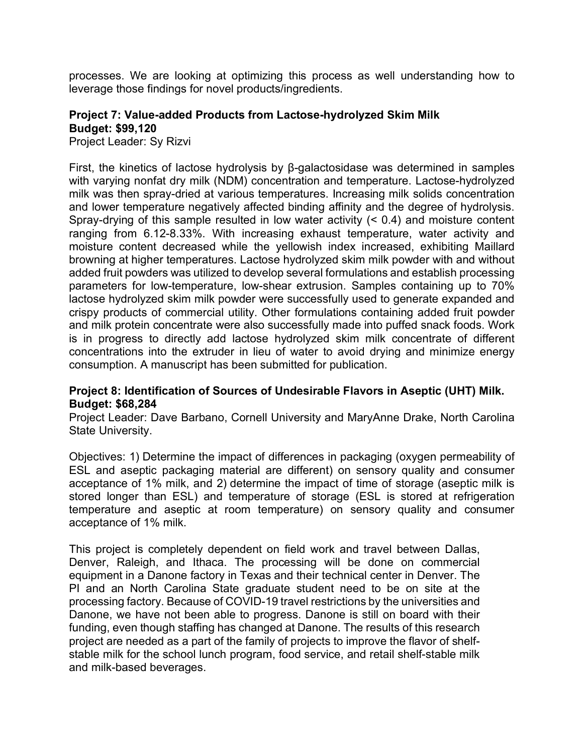processes. We are looking at optimizing this process as well understanding how to leverage those findings for novel products/ingredients.

# **Project 7: Value-added Products from Lactose-hydrolyzed Skim Milk Budget: \$99,120**

Project Leader: Sy Rizvi

First, the kinetics of lactose hydrolysis by β-galactosidase was determined in samples with varying nonfat dry milk (NDM) concentration and temperature. Lactose-hydrolyzed milk was then spray-dried at various temperatures. Increasing milk solids concentration and lower temperature negatively affected binding affinity and the degree of hydrolysis. Spray-drying of this sample resulted in low water activity (< 0.4) and moisture content ranging from 6.12-8.33%. With increasing exhaust temperature, water activity and moisture content decreased while the yellowish index increased, exhibiting Maillard browning at higher temperatures. Lactose hydrolyzed skim milk powder with and without added fruit powders was utilized to develop several formulations and establish processing parameters for low-temperature, low-shear extrusion. Samples containing up to 70% lactose hydrolyzed skim milk powder were successfully used to generate expanded and crispy products of commercial utility. Other formulations containing added fruit powder and milk protein concentrate were also successfully made into puffed snack foods. Work is in progress to directly add lactose hydrolyzed skim milk concentrate of different concentrations into the extruder in lieu of water to avoid drying and minimize energy consumption. A manuscript has been submitted for publication.

#### **Project 8: Identification of Sources of Undesirable Flavors in Aseptic (UHT) Milk. Budget: \$68,284**

Project Leader: Dave Barbano, Cornell University and MaryAnne Drake, North Carolina State University.

Objectives: 1) Determine the impact of differences in packaging (oxygen permeability of ESL and aseptic packaging material are different) on sensory quality and consumer acceptance of 1% milk, and 2) determine the impact of time of storage (aseptic milk is stored longer than ESL) and temperature of storage (ESL is stored at refrigeration temperature and aseptic at room temperature) on sensory quality and consumer acceptance of 1% milk.

This project is completely dependent on field work and travel between Dallas, Denver, Raleigh, and Ithaca. The processing will be done on commercial equipment in a Danone factory in Texas and their technical center in Denver. The PI and an North Carolina State graduate student need to be on site at the processing factory. Because of COVID-19 travel restrictions by the universities and Danone, we have not been able to progress. Danone is still on board with their funding, even though staffing has changed at Danone. The results of this research project are needed as a part of the family of projects to improve the flavor of shelfstable milk for the school lunch program, food service, and retail shelf-stable milk and milk-based beverages.